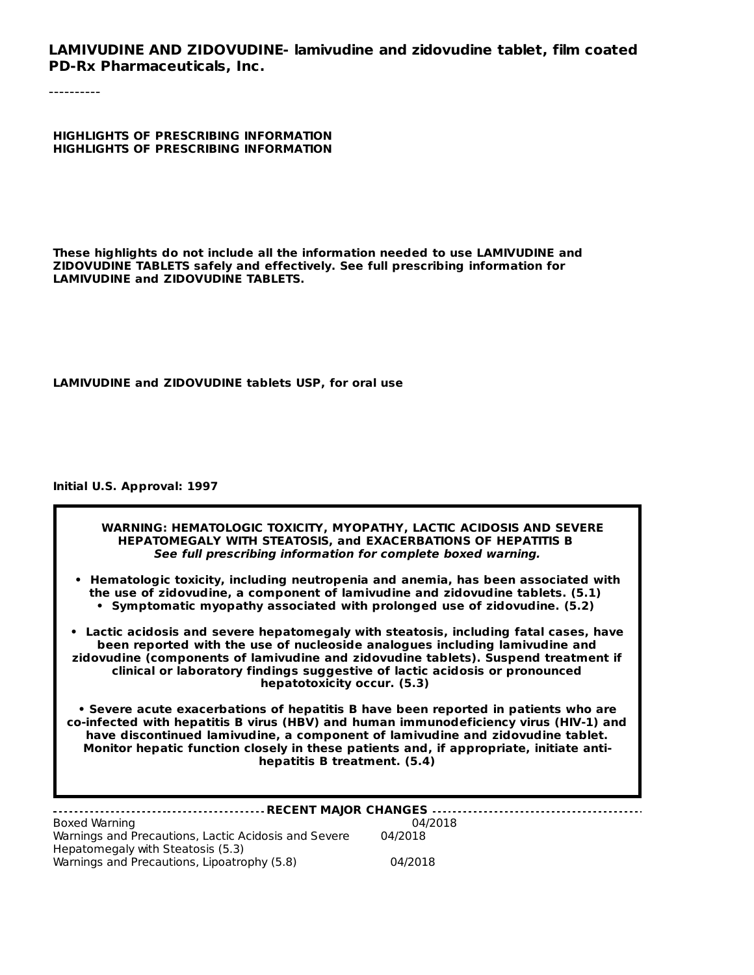**LAMIVUDINE AND ZIDOVUDINE- lamivudine and zidovudine tablet, film coated PD-Rx Pharmaceuticals, Inc.**

----------

**HIGHLIGHTS OF PRESCRIBING INFORMATION HIGHLIGHTS OF PRESCRIBING INFORMATION**

**These highlights do not include all the information needed to use LAMIVUDINE and ZIDOVUDINE TABLETS safely and effectively. See full prescribing information for LAMIVUDINE and ZIDOVUDINE TABLETS.**

**LAMIVUDINE and ZIDOVUDINE tablets USP, for oral use**

#### **Initial U.S. Approval: 1997**

Hepatomegaly with Steatosis (5.3)

Warnings and Precautions, Lipoatrophy (5.8) 04/2018

| WARNING: HEMATOLOGIC TOXICITY, MYOPATHY, LACTIC ACIDOSIS AND SEVERE<br>HEPATOMEGALY WITH STEATOSIS, and EXACERBATIONS OF HEPATITIS B<br>See full prescribing information for complete boxed warning.                                                                                                                                                                                    |  |  |  |
|-----------------------------------------------------------------------------------------------------------------------------------------------------------------------------------------------------------------------------------------------------------------------------------------------------------------------------------------------------------------------------------------|--|--|--|
| • Hematologic toxicity, including neutropenia and anemia, has been associated with<br>the use of zidovudine, a component of lamivudine and zidovudine tablets. (5.1)<br>• Symptomatic myopathy associated with prolonged use of zidovudine. (5.2)                                                                                                                                       |  |  |  |
| Lactic acidosis and severe hepatomegaly with steatosis, including fatal cases, have<br>been reported with the use of nucleoside analogues including lamivudine and<br>zidovudine (components of lamivudine and zidovudine tablets). Suspend treatment if<br>clinical or laboratory findings suggestive of lactic acidosis or pronounced<br>hepatotoxicity occur. (5.3)                  |  |  |  |
| • Severe acute exacerbations of hepatitis B have been reported in patients who are<br>co-infected with hepatitis B virus (HBV) and human immunodeficiency virus (HIV-1) and<br>have discontinued lamivudine, a component of lamivudine and zidovudine tablet.<br>Monitor hepatic function closely in these patients and, if appropriate, initiate anti-<br>hepatitis B treatment. (5.4) |  |  |  |
| - RECENT MAJOR CHANGES                                                                                                                                                                                                                                                                                                                                                                  |  |  |  |
| Boxed Warning<br>04/2018<br>Warnings and Precautions, Lactic Acidosis and Severe<br>04/2018                                                                                                                                                                                                                                                                                             |  |  |  |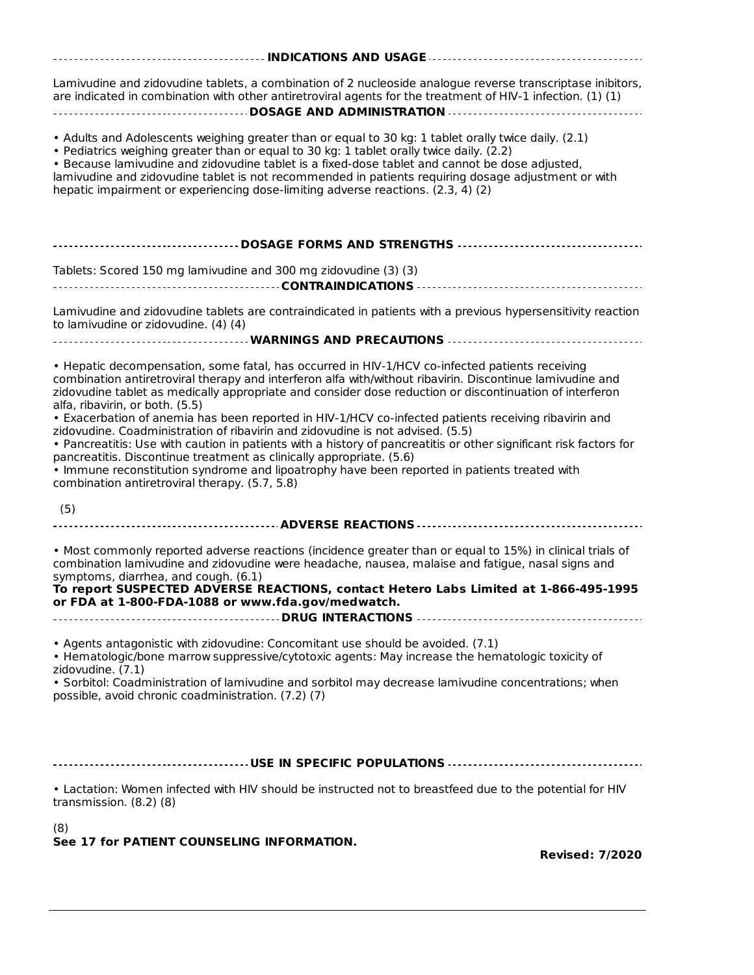| Lamivudine and zidovudine tablets, a combination of 2 nucleoside analogue reverse transcriptase inibitors,<br>are indicated in combination with other antiretroviral agents for the treatment of HIV-1 infection. (1) (1)                                                                                                                                                                                                                                                                                                                                                                                                                                                                                                                        |
|--------------------------------------------------------------------------------------------------------------------------------------------------------------------------------------------------------------------------------------------------------------------------------------------------------------------------------------------------------------------------------------------------------------------------------------------------------------------------------------------------------------------------------------------------------------------------------------------------------------------------------------------------------------------------------------------------------------------------------------------------|
| . Adults and Adolescents weighing greater than or equal to 30 kg: 1 tablet orally twice daily. (2.1)<br>. Pediatrics weighing greater than or equal to 30 kg: 1 tablet orally twice daily. (2.2)<br>. Because lamivudine and zidovudine tablet is a fixed-dose tablet and cannot be dose adjusted,<br>lamivudine and zidovudine tablet is not recommended in patients requiring dosage adjustment or with<br>hepatic impairment or experiencing dose-limiting adverse reactions. (2.3, 4) (2)                                                                                                                                                                                                                                                    |
| ----------------------------------DOSAGE FORMS AND STRENGTHS --------------------------------                                                                                                                                                                                                                                                                                                                                                                                                                                                                                                                                                                                                                                                    |
| Tablets: Scored 150 mg lamivudine and 300 mg zidovudine (3) (3)                                                                                                                                                                                                                                                                                                                                                                                                                                                                                                                                                                                                                                                                                  |
| Lamivudine and zidovudine tablets are contraindicated in patients with a previous hypersensitivity reaction<br>to lamivudine or zidovudine. (4) (4)                                                                                                                                                                                                                                                                                                                                                                                                                                                                                                                                                                                              |
|                                                                                                                                                                                                                                                                                                                                                                                                                                                                                                                                                                                                                                                                                                                                                  |
| • Hepatic decompensation, some fatal, has occurred in HIV-1/HCV co-infected patients receiving<br>combination antiretroviral therapy and interferon alfa with/without ribavirin. Discontinue lamivudine and<br>zidovudine tablet as medically appropriate and consider dose reduction or discontinuation of interferon<br>alfa, ribavirin, or both. (5.5)<br>• Exacerbation of anemia has been reported in HIV-1/HCV co-infected patients receiving ribavirin and<br>zidovudine. Coadministration of ribavirin and zidovudine is not advised. (5.5)<br>• Pancreatitis: Use with caution in patients with a history of pancreatitis or other significant risk factors for<br>pancreatitis. Discontinue treatment as clinically appropriate. (5.6) |
| . Immune reconstitution syndrome and lipoatrophy have been reported in patients treated with<br>combination antiretroviral therapy. (5.7, 5.8)                                                                                                                                                                                                                                                                                                                                                                                                                                                                                                                                                                                                   |
| (5)                                                                                                                                                                                                                                                                                                                                                                                                                                                                                                                                                                                                                                                                                                                                              |
| • Most commonly reported adverse reactions (incidence greater than or equal to 15%) in clinical trials of<br>combination lamivudine and zidovudine were headache, nausea, malaise and fatigue, nasal signs and<br>symptoms, diarrhea, and cough. (6.1)<br>To report SUSPECTED ADVERSE REACTIONS, contact Hetero Labs Limited at 1-866-495-1995<br>or FDA at 1-800-FDA-1088 or www.fda.gov/medwatch.                                                                                                                                                                                                                                                                                                                                              |
| • Agents antagonistic with zidovudine: Concomitant use should be avoided. (7.1)                                                                                                                                                                                                                                                                                                                                                                                                                                                                                                                                                                                                                                                                  |
| • Hematologic/bone marrow suppressive/cytotoxic agents: May increase the hematologic toxicity of                                                                                                                                                                                                                                                                                                                                                                                                                                                                                                                                                                                                                                                 |
| zidovudine. (7.1)<br>· Sorbitol: Coadministration of lamivudine and sorbitol may decrease lamivudine concentrations; when<br>possible, avoid chronic coadministration. (7.2) (7)                                                                                                                                                                                                                                                                                                                                                                                                                                                                                                                                                                 |
|                                                                                                                                                                                                                                                                                                                                                                                                                                                                                                                                                                                                                                                                                                                                                  |
|                                                                                                                                                                                                                                                                                                                                                                                                                                                                                                                                                                                                                                                                                                                                                  |
| • Lactation: Women infected with HIV should be instructed not to breastfeed due to the potential for HIV<br>transmission. $(8.2)$ $(8)$                                                                                                                                                                                                                                                                                                                                                                                                                                                                                                                                                                                                          |
| (8)<br>See 17 for PATIENT COUNSELING INFORMATION.                                                                                                                                                                                                                                                                                                                                                                                                                                                                                                                                                                                                                                                                                                |
| <b>Revised: 7/2020</b>                                                                                                                                                                                                                                                                                                                                                                                                                                                                                                                                                                                                                                                                                                                           |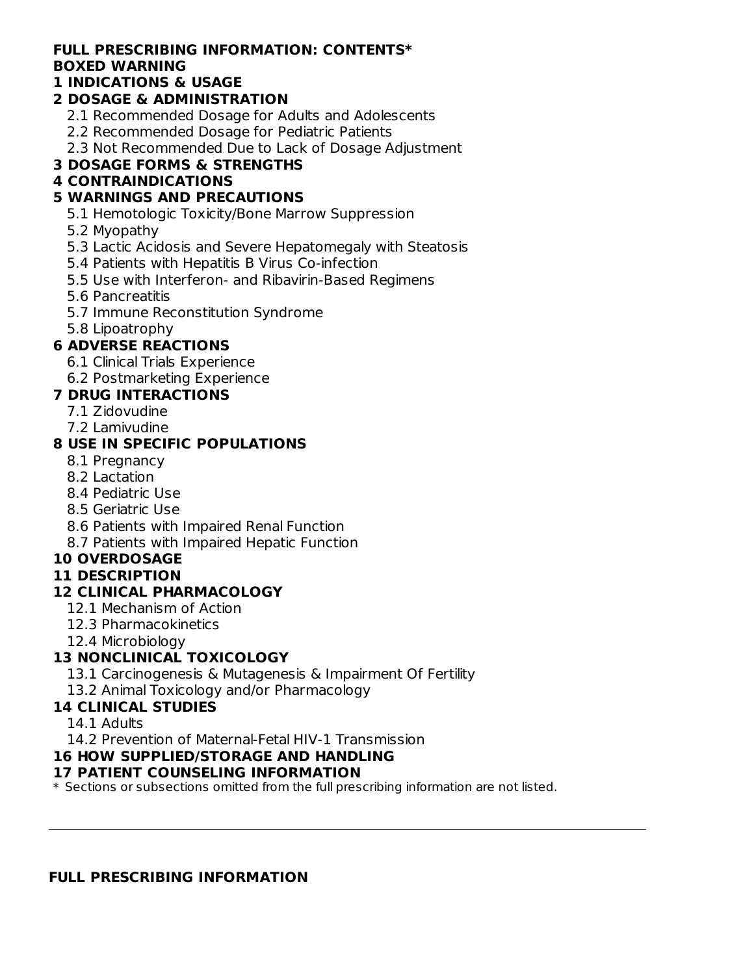### **FULL PRESCRIBING INFORMATION: CONTENTS\* BOXED WARNING**

### **1 INDICATIONS & USAGE**

## **2 DOSAGE & ADMINISTRATION**

- 2.1 Recommended Dosage for Adults and Adolescents
- 2.2 Recommended Dosage for Pediatric Patients
- 2.3 Not Recommended Due to Lack of Dosage Adjustment

## **3 DOSAGE FORMS & STRENGTHS**

### **4 CONTRAINDICATIONS**

### **5 WARNINGS AND PRECAUTIONS**

- 5.1 Hemotologic Toxicity/Bone Marrow Suppression
- 5.2 Myopathy
- 5.3 Lactic Acidosis and Severe Hepatomegaly with Steatosis
- 5.4 Patients with Hepatitis B Virus Co-infection
- 5.5 Use with Interferon- and Ribavirin-Based Regimens
- 5.6 Pancreatitis
- 5.7 Immune Reconstitution Syndrome
- 5.8 Lipoatrophy

## **6 ADVERSE REACTIONS**

- 6.1 Clinical Trials Experience
- 6.2 Postmarketing Experience

# **7 DRUG INTERACTIONS**

- 7.1 Zidovudine
- 7.2 Lamivudine

### **8 USE IN SPECIFIC POPULATIONS**

- 8.1 Pregnancy
- 8.2 Lactation
- 8.4 Pediatric Use
- 8.5 Geriatric Use
- 8.6 Patients with Impaired Renal Function
- 8.7 Patients with Impaired Hepatic Function

## **10 OVERDOSAGE**

### **11 DESCRIPTION**

### **12 CLINICAL PHARMACOLOGY**

- 12.1 Mechanism of Action
- 12.3 Pharmacokinetics
- 12.4 Microbiology

## **13 NONCLINICAL TOXICOLOGY**

- 13.1 Carcinogenesis & Mutagenesis & Impairment Of Fertility
- 13.2 Animal Toxicology and/or Pharmacology

## **14 CLINICAL STUDIES**

14.1 Adults

14.2 Prevention of Maternal-Fetal HIV-1 Transmission

### **16 HOW SUPPLIED/STORAGE AND HANDLING**

### **17 PATIENT COUNSELING INFORMATION**

\* Sections or subsections omitted from the full prescribing information are not listed.

#### **FULL PRESCRIBING INFORMATION**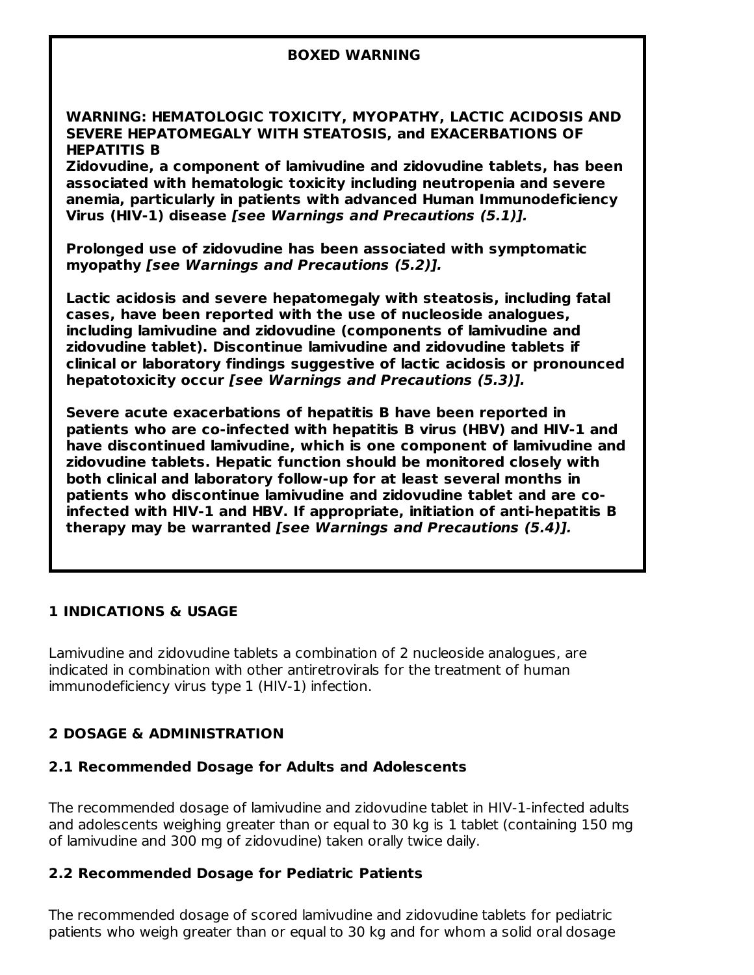#### **BOXED WARNING**

**WARNING: HEMATOLOGIC TOXICITY, MYOPATHY, LACTIC ACIDOSIS AND SEVERE HEPATOMEGALY WITH STEATOSIS, and EXACERBATIONS OF HEPATITIS B**

**Zidovudine, a component of lamivudine and zidovudine tablets, has been associated with hematologic toxicity including neutropenia and severe anemia, particularly in patients with advanced Human Immunodeficiency Virus (HIV-1) disease [see Warnings and Precautions (5.1)].**

**Prolonged use of zidovudine has been associated with symptomatic myopathy [see Warnings and Precautions (5.2)].**

**Lactic acidosis and severe hepatomegaly with steatosis, including fatal cases, have been reported with the use of nucleoside analogues, including lamivudine and zidovudine (components of lamivudine and zidovudine tablet). Discontinue lamivudine and zidovudine tablets if clinical or laboratory findings suggestive of lactic acidosis or pronounced hepatotoxicity occur [see Warnings and Precautions (5.3)].**

**Severe acute exacerbations of hepatitis B have been reported in patients who are co-infected with hepatitis B virus (HBV) and HIV-1 and have discontinued lamivudine, which is one component of lamivudine and zidovudine tablets. Hepatic function should be monitored closely with both clinical and laboratory follow-up for at least several months in patients who discontinue lamivudine and zidovudine tablet and are coinfected with HIV-1 and HBV. If appropriate, initiation of anti-hepatitis B therapy may be warranted [see Warnings and Precautions (5.4)].**

#### **1 INDICATIONS & USAGE**

Lamivudine and zidovudine tablets a combination of 2 nucleoside analogues, are indicated in combination with other antiretrovirals for the treatment of human immunodeficiency virus type 1 (HIV-1) infection.

#### **2 DOSAGE & ADMINISTRATION**

#### **2.1 Recommended Dosage for Adults and Adolescents**

The recommended dosage of lamivudine and zidovudine tablet in HIV-1-infected adults and adolescents weighing greater than or equal to 30 kg is 1 tablet (containing 150 mg of lamivudine and 300 mg of zidovudine) taken orally twice daily.

#### **2.2 Recommended Dosage for Pediatric Patients**

The recommended dosage of scored lamivudine and zidovudine tablets for pediatric patients who weigh greater than or equal to 30 kg and for whom a solid oral dosage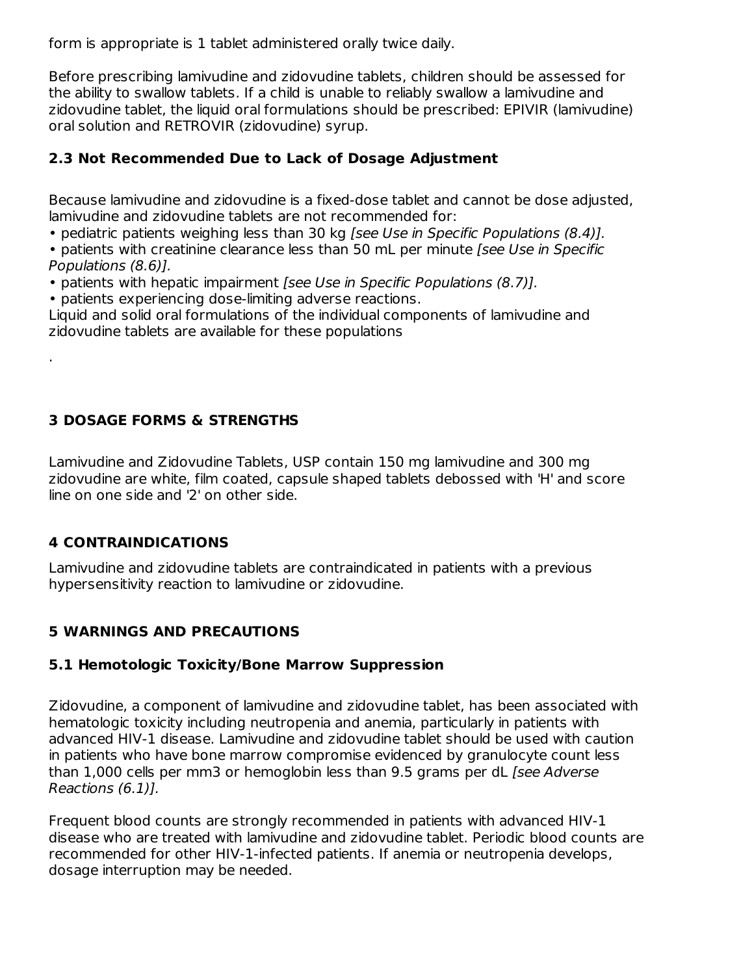form is appropriate is 1 tablet administered orally twice daily.

Before prescribing lamivudine and zidovudine tablets, children should be assessed for the ability to swallow tablets. If a child is unable to reliably swallow a lamivudine and zidovudine tablet, the liquid oral formulations should be prescribed: EPIVIR (lamivudine) oral solution and RETROVIR (zidovudine) syrup.

### **2.3 Not Recommended Due to Lack of Dosage Adjustment**

Because lamivudine and zidovudine is a fixed-dose tablet and cannot be dose adjusted, lamivudine and zidovudine tablets are not recommended for:

• pediatric patients weighing less than 30 kg *[see Use in Specific Populations (8.4)*].

• patients with creatinine clearance less than 50 mL per minute [see Use in Specific Populations (8.6)].

• patients with hepatic impairment [see Use in Specific Populations (8.7)].

• patients experiencing dose-limiting adverse reactions.

Liquid and solid oral formulations of the individual components of lamivudine and zidovudine tablets are available for these populations

## **3 DOSAGE FORMS & STRENGTHS**

Lamivudine and Zidovudine Tablets, USP contain 150 mg lamivudine and 300 mg zidovudine are white, film coated, capsule shaped tablets debossed with 'H' and score line on one side and '2' on other side.

### **4 CONTRAINDICATIONS**

.

Lamivudine and zidovudine tablets are contraindicated in patients with a previous hypersensitivity reaction to lamivudine or zidovudine.

## **5 WARNINGS AND PRECAUTIONS**

### **5.1 Hemotologic Toxicity/Bone Marrow Suppression**

Zidovudine, a component of lamivudine and zidovudine tablet, has been associated with hematologic toxicity including neutropenia and anemia, particularly in patients with advanced HIV-1 disease. Lamivudine and zidovudine tablet should be used with caution in patients who have bone marrow compromise evidenced by granulocyte count less than 1,000 cells per mm3 or hemoglobin less than 9.5 grams per dL [see Adverse Reactions (6.1)].

Frequent blood counts are strongly recommended in patients with advanced HIV-1 disease who are treated with lamivudine and zidovudine tablet. Periodic blood counts are recommended for other HIV-1-infected patients. If anemia or neutropenia develops, dosage interruption may be needed.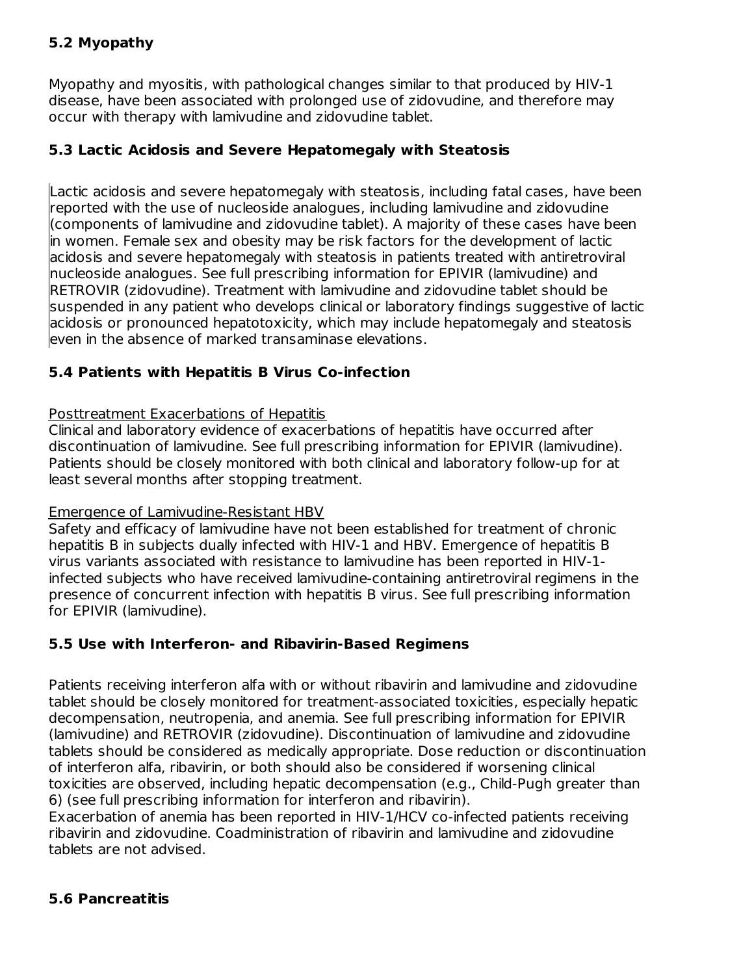### **5.2 Myopathy**

Myopathy and myositis, with pathological changes similar to that produced by HIV-1 disease, have been associated with prolonged use of zidovudine, and therefore may occur with therapy with lamivudine and zidovudine tablet.

#### **5.3 Lactic Acidosis and Severe Hepatomegaly with Steatosis**

Lactic acidosis and severe hepatomegaly with steatosis, including fatal cases, have been reported with the use of nucleoside analogues, including lamivudine and zidovudine (components of lamivudine and zidovudine tablet). A majority of these cases have been in women. Female sex and obesity may be risk factors for the development of lactic acidosis and severe hepatomegaly with steatosis in patients treated with antiretroviral nucleoside analogues. See full prescribing information for EPIVIR (lamivudine) and RETROVIR (zidovudine). Treatment with lamivudine and zidovudine tablet should be suspended in any patient who develops clinical or laboratory findings suggestive of lactic acidosis or pronounced hepatotoxicity, which may include hepatomegaly and steatosis even in the absence of marked transaminase elevations.

### **5.4 Patients with Hepatitis B Virus Co-infection**

#### Posttreatment Exacerbations of Hepatitis

Clinical and laboratory evidence of exacerbations of hepatitis have occurred after discontinuation of lamivudine. See full prescribing information for EPIVIR (lamivudine). Patients should be closely monitored with both clinical and laboratory follow-up for at least several months after stopping treatment.

#### Emergence of Lamivudine-Resistant HBV

Safety and efficacy of lamivudine have not been established for treatment of chronic hepatitis B in subjects dually infected with HIV-1 and HBV. Emergence of hepatitis B virus variants associated with resistance to lamivudine has been reported in HIV-1 infected subjects who have received lamivudine-containing antiretroviral regimens in the presence of concurrent infection with hepatitis B virus. See full prescribing information for EPIVIR (lamivudine).

#### **5.5 Use with Interferon- and Ribavirin-Based Regimens**

Patients receiving interferon alfa with or without ribavirin and lamivudine and zidovudine tablet should be closely monitored for treatment-associated toxicities, especially hepatic decompensation, neutropenia, and anemia. See full prescribing information for EPIVIR (lamivudine) and RETROVIR (zidovudine). Discontinuation of lamivudine and zidovudine tablets should be considered as medically appropriate. Dose reduction or discontinuation of interferon alfa, ribavirin, or both should also be considered if worsening clinical toxicities are observed, including hepatic decompensation (e.g., Child-Pugh greater than 6) (see full prescribing information for interferon and ribavirin).

Exacerbation of anemia has been reported in HIV-1/HCV co-infected patients receiving ribavirin and zidovudine. Coadministration of ribavirin and lamivudine and zidovudine tablets are not advised.

#### **5.6 Pancreatitis**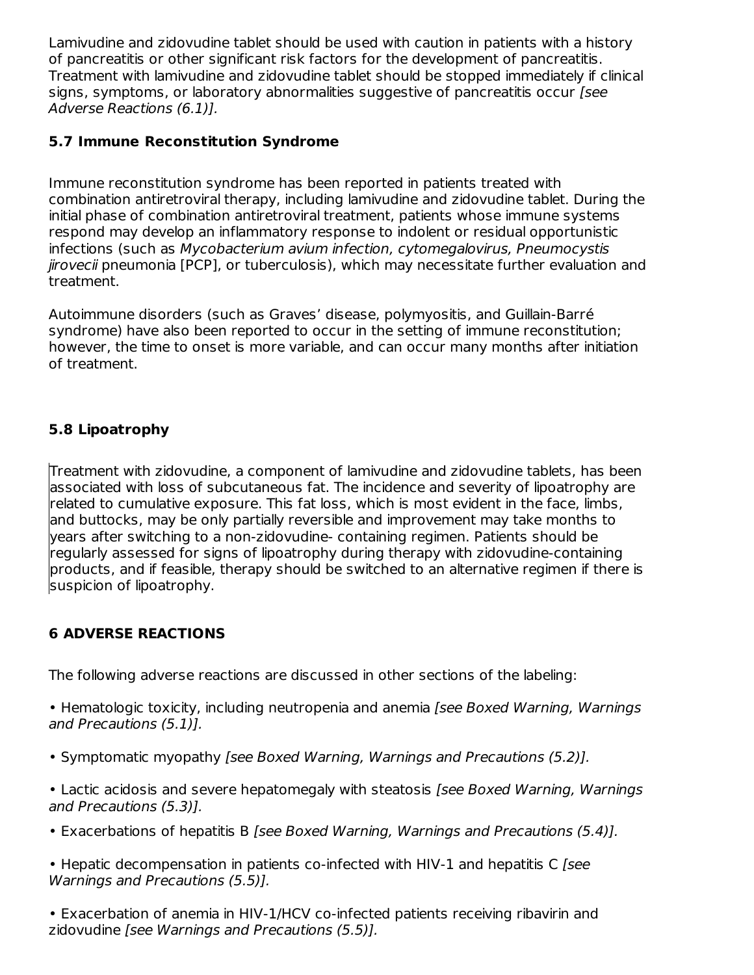Lamivudine and zidovudine tablet should be used with caution in patients with a history of pancreatitis or other significant risk factors for the development of pancreatitis. Treatment with lamivudine and zidovudine tablet should be stopped immediately if clinical signs, symptoms, or laboratory abnormalities suggestive of pancreatitis occur [see Adverse Reactions (6.1)].

### **5.7 Immune Reconstitution Syndrome**

Immune reconstitution syndrome has been reported in patients treated with combination antiretroviral therapy, including lamivudine and zidovudine tablet. During the initial phase of combination antiretroviral treatment, patients whose immune systems respond may develop an inflammatory response to indolent or residual opportunistic infections (such as Mycobacterium avium infection, cytomegalovirus, Pneumocystis jirovecii pneumonia [PCP], or tuberculosis), which may necessitate further evaluation and treatment.

Autoimmune disorders (such as Graves' disease, polymyositis, and Guillain-Barré syndrome) have also been reported to occur in the setting of immune reconstitution; however, the time to onset is more variable, and can occur many months after initiation of treatment.

## **5.8 Lipoatrophy**

Treatment with zidovudine, a component of lamivudine and zidovudine tablets, has been associated with loss of subcutaneous fat. The incidence and severity of lipoatrophy are related to cumulative exposure. This fat loss, which is most evident in the face, limbs, and buttocks, may be only partially reversible and improvement may take months to years after switching to a non-zidovudine- containing regimen. Patients should be regularly assessed for signs of lipoatrophy during therapy with zidovudine-containing products, and if feasible, therapy should be switched to an alternative regimen if there is suspicion of lipoatrophy.

# **6 ADVERSE REACTIONS**

The following adverse reactions are discussed in other sections of the labeling:

• Hematologic toxicity, including neutropenia and anemia [see Boxed Warning, Warnings and Precautions (5.1)].

- Symptomatic myopathy [see Boxed Warning, Warnings and Precautions (5.2)].
- Lactic acidosis and severe hepatomegaly with steatosis [see Boxed Warning, Warnings and Precautions (5.3)].
- Exacerbations of hepatitis B [see Boxed Warning, Warnings and Precautions (5.4)].
- Hepatic decompensation in patients co-infected with HIV-1 and hepatitis C [see Warnings and Precautions (5.5)].

• Exacerbation of anemia in HIV-1/HCV co-infected patients receiving ribavirin and zidovudine [see Warnings and Precautions (5.5)].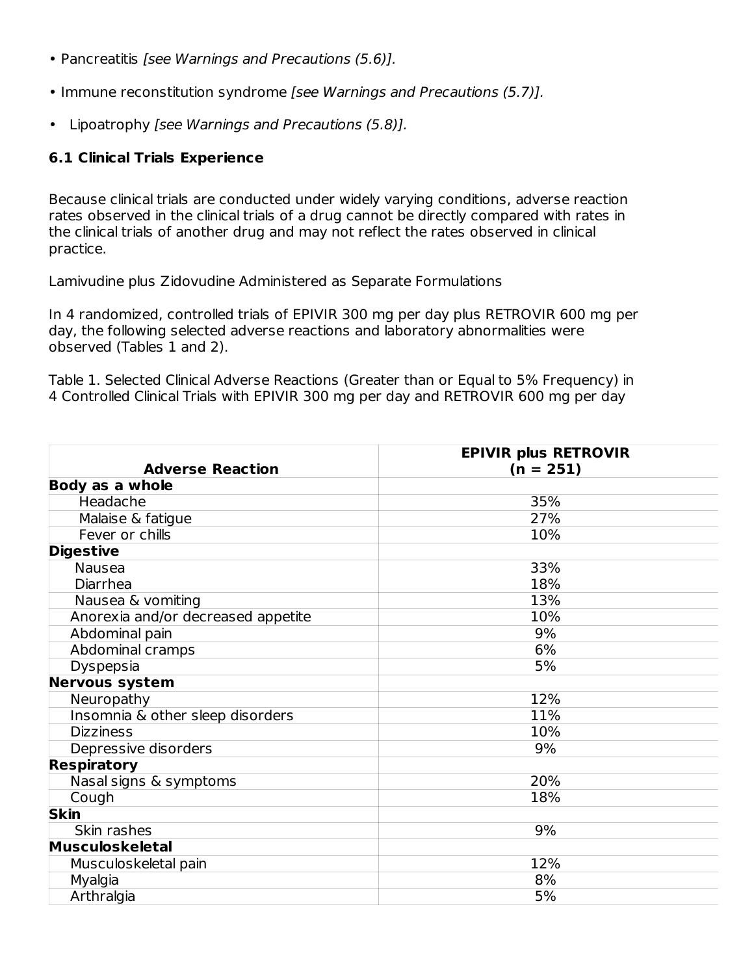- Pancreatitis [see Warnings and Precautions (5.6)].
- Immune reconstitution syndrome [see Warnings and Precautions (5.7)].
- Lipoatrophy [see Warnings and Precautions (5.8)].

#### **6.1 Clinical Trials Experience**

Because clinical trials are conducted under widely varying conditions, adverse reaction rates observed in the clinical trials of a drug cannot be directly compared with rates in the clinical trials of another drug and may not reflect the rates observed in clinical practice.

Lamivudine plus Zidovudine Administered as Separate Formulations

In 4 randomized, controlled trials of EPIVIR 300 mg per day plus RETROVIR 600 mg per day, the following selected adverse reactions and laboratory abnormalities were observed (Tables 1 and 2).

Table 1. Selected Clinical Adverse Reactions (Greater than or Equal to 5% Frequency) in 4 Controlled Clinical Trials with EPIVIR 300 mg per day and RETROVIR 600 mg per day

|                                    | <b>EPIVIR plus RETROVIR</b> |
|------------------------------------|-----------------------------|
| <b>Adverse Reaction</b>            | $(n = 251)$                 |
| <b>Body as a whole</b>             |                             |
| Headache                           | 35%                         |
| Malaise & fatigue                  | 27%                         |
| Fever or chills                    | 10%                         |
| <b>Digestive</b>                   |                             |
| Nausea                             | 33%                         |
| Diarrhea                           | 18%                         |
| Nausea & vomiting                  | 13%                         |
| Anorexia and/or decreased appetite | 10%                         |
| Abdominal pain                     | 9%                          |
| Abdominal cramps                   | 6%                          |
| Dyspepsia                          | 5%                          |
| <b>Nervous system</b>              |                             |
| Neuropathy                         | 12%                         |
| Insomnia & other sleep disorders   | 11%                         |
| <b>Dizziness</b>                   | 10%                         |
| Depressive disorders               | 9%                          |
| <b>Respiratory</b>                 |                             |
| Nasal signs & symptoms             | 20%                         |
| Cough                              | 18%                         |
| <b>Skin</b>                        |                             |
| Skin rashes                        | 9%                          |
| <b>Musculoskeletal</b>             |                             |
| Musculoskeletal pain               | 12%                         |
| Myalgia                            | 8%                          |
| Arthralgia                         | 5%                          |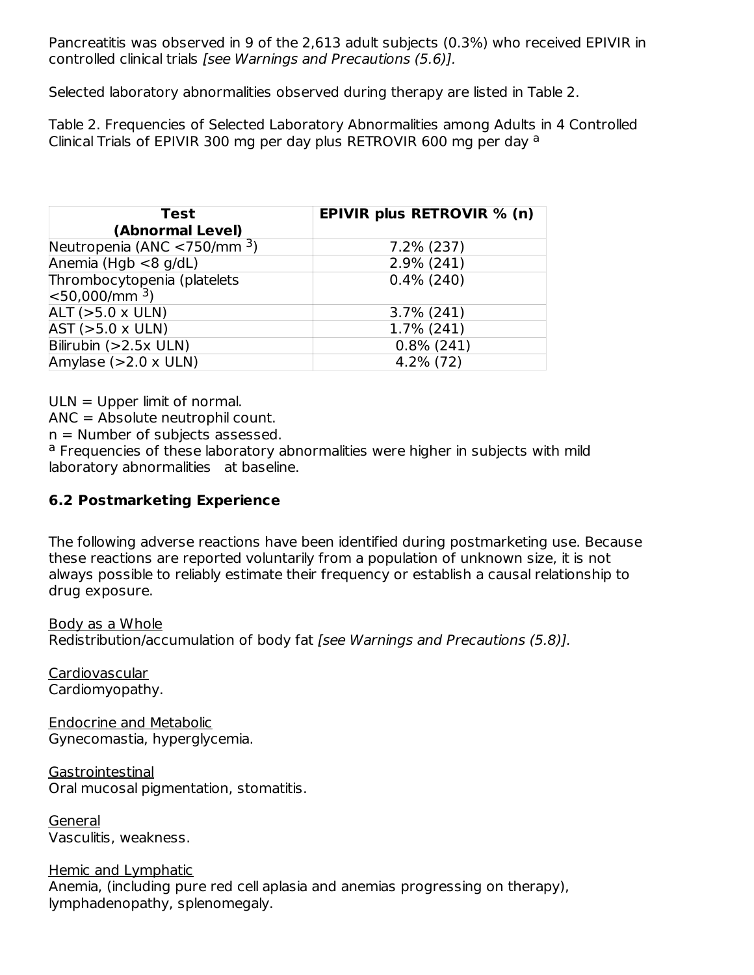Pancreatitis was observed in 9 of the 2,613 adult subjects (0.3%) who received EPIVIR in controlled clinical trials [see Warnings and Precautions (5.6)].

Selected laboratory abnormalities observed during therapy are listed in Table 2.

Table 2. Frequencies of Selected Laboratory Abnormalities among Adults in 4 Controlled Clinical Trials of EPIVIR 300 mg per day plus RETROVIR 600 mg per day a

| <b>Test</b><br>(Abnormal Level)                       | <b>EPIVIR plus RETROVIR % (n)</b> |
|-------------------------------------------------------|-----------------------------------|
| Neutropenia (ANC $\lt$ 750/mm <sup>3</sup> )          | $7.2\%$ (237)                     |
| Anemia (Hgb $<$ 8 g/dL)                               | $2.9\%$ (241)                     |
| Thrombocytopenia (platelets<br>$ $ < 50,000/mm $^3$ ) | $0.4\%$ (240)                     |
| $ALT (>5.0 \times ULN)$                               | $3.7\%$ (241)                     |
| $AST (>5.0 \times ULN)$                               | 1.7% (241)                        |
| Bilirubin $(>2.5x$ ULN)                               | $0.8\%$ (241)                     |
| Amylase $(>2.0 \times ULN)$                           | $4.2\%$ (72)                      |

ULN = Upper limit of normal.

ANC = Absolute neutrophil count.

 $n =$  Number of subjects assessed.

<sup>a</sup> Frequencies of these laboratory abnormalities were higher in subjects with mild laboratory abnormalities at baseline.

## **6.2 Postmarketing Experience**

The following adverse reactions have been identified during postmarketing use. Because these reactions are reported voluntarily from a population of unknown size, it is not always possible to reliably estimate their frequency or establish a causal relationship to drug exposure.

Body as a Whole

Redistribution/accumulation of body fat [see Warnings and Precautions (5.8)].

Cardiovascular Cardiomyopathy.

Endocrine and Metabolic Gynecomastia, hyperglycemia.

**Gastrointestinal** Oral mucosal pigmentation, stomatitis.

General Vasculitis, weakness.

Hemic and Lymphatic

Anemia, (including pure red cell aplasia and anemias progressing on therapy), lymphadenopathy, splenomegaly.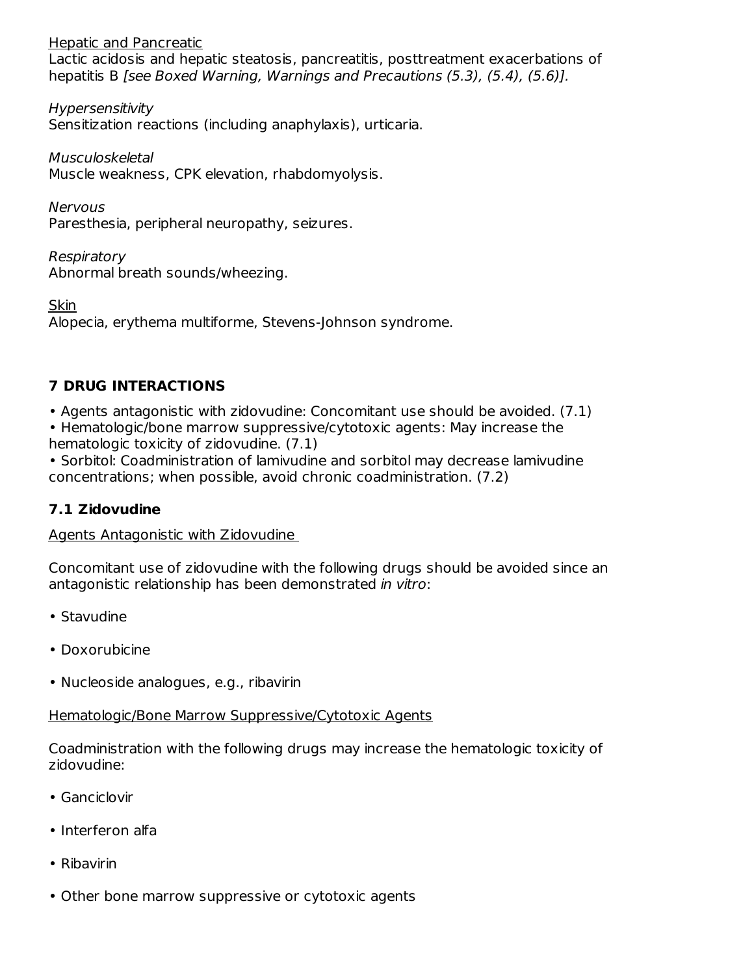Hepatic and Pancreatic Lactic acidosis and hepatic steatosis, pancreatitis, posttreatment exacerbations of hepatitis B [see Boxed Warning, Warnings and Precautions (5.3), (5.4), (5.6)].

Hypersensitivity Sensitization reactions (including anaphylaxis), urticaria.

Musculoskeletal Muscle weakness, CPK elevation, rhabdomyolysis.

Nervous Paresthesia, peripheral neuropathy, seizures.

Respiratory Abnormal breath sounds/wheezing.

Skin Alopecia, erythema multiforme, Stevens-Johnson syndrome.

## **7 DRUG INTERACTIONS**

• Agents antagonistic with zidovudine: Concomitant use should be avoided. (7.1)

- Hematologic/bone marrow suppressive/cytotoxic agents: May increase the hematologic toxicity of zidovudine. (7.1)
- Sorbitol: Coadministration of lamivudine and sorbitol may decrease lamivudine concentrations; when possible, avoid chronic coadministration. (7.2)

## **7.1 Zidovudine**

Agents Antagonistic with Zidovudine

Concomitant use of zidovudine with the following drugs should be avoided since an antagonistic relationship has been demonstrated in vitro:

- Stavudine
- Doxorubicine
- Nucleoside analogues, e.g., ribavirin

# Hematologic/Bone Marrow Suppressive/Cytotoxic Agents

Coadministration with the following drugs may increase the hematologic toxicity of zidovudine:

- Ganciclovir
- Interferon alfa
- Ribavirin
- Other bone marrow suppressive or cytotoxic agents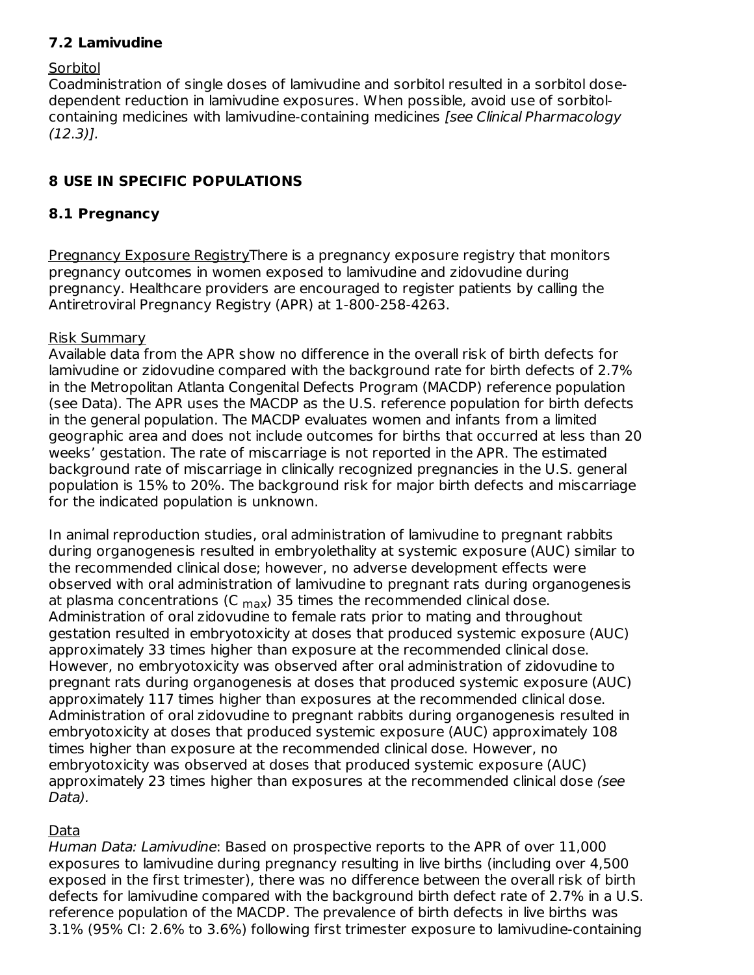### **7.2 Lamivudine**

#### **Sorbitol**

Coadministration of single doses of lamivudine and sorbitol resulted in a sorbitol dosedependent reduction in lamivudine exposures. When possible, avoid use of sorbitolcontaining medicines with lamivudine-containing medicines [see Clinical Pharmacology (12.3)].

#### **8 USE IN SPECIFIC POPULATIONS**

#### **8.1 Pregnancy**

Pregnancy Exposure RegistryThere is a pregnancy exposure registry that monitors pregnancy outcomes in women exposed to lamivudine and zidovudine during pregnancy. Healthcare providers are encouraged to register patients by calling the Antiretroviral Pregnancy Registry (APR) at 1-800-258-4263.

#### Risk Summary

Available data from the APR show no difference in the overall risk of birth defects for lamivudine or zidovudine compared with the background rate for birth defects of 2.7% in the Metropolitan Atlanta Congenital Defects Program (MACDP) reference population (see Data). The APR uses the MACDP as the U.S. reference population for birth defects in the general population. The MACDP evaluates women and infants from a limited geographic area and does not include outcomes for births that occurred at less than 20 weeks' gestation. The rate of miscarriage is not reported in the APR. The estimated background rate of miscarriage in clinically recognized pregnancies in the U.S. general population is 15% to 20%. The background risk for major birth defects and miscarriage for the indicated population is unknown.

In animal reproduction studies, oral administration of lamivudine to pregnant rabbits during organogenesis resulted in embryolethality at systemic exposure (AUC) similar to the recommended clinical dose; however, no adverse development effects were observed with oral administration of lamivudine to pregnant rats during organogenesis at plasma concentrations (C  $_{\sf max}$ ) 35 times the recommended clinical dose. Administration of oral zidovudine to female rats prior to mating and throughout gestation resulted in embryotoxicity at doses that produced systemic exposure (AUC) approximately 33 times higher than exposure at the recommended clinical dose. However, no embryotoxicity was observed after oral administration of zidovudine to pregnant rats during organogenesis at doses that produced systemic exposure (AUC) approximately 117 times higher than exposures at the recommended clinical dose. Administration of oral zidovudine to pregnant rabbits during organogenesis resulted in embryotoxicity at doses that produced systemic exposure (AUC) approximately 108 times higher than exposure at the recommended clinical dose. However, no embryotoxicity was observed at doses that produced systemic exposure (AUC) approximately 23 times higher than exposures at the recommended clinical dose (see Data).

### Data

Human Data: Lamivudine: Based on prospective reports to the APR of over 11,000 exposures to lamivudine during pregnancy resulting in live births (including over 4,500 exposed in the first trimester), there was no difference between the overall risk of birth defects for lamivudine compared with the background birth defect rate of 2.7% in a U.S. reference population of the MACDP. The prevalence of birth defects in live births was 3.1% (95% CI: 2.6% to 3.6%) following first trimester exposure to lamivudine-containing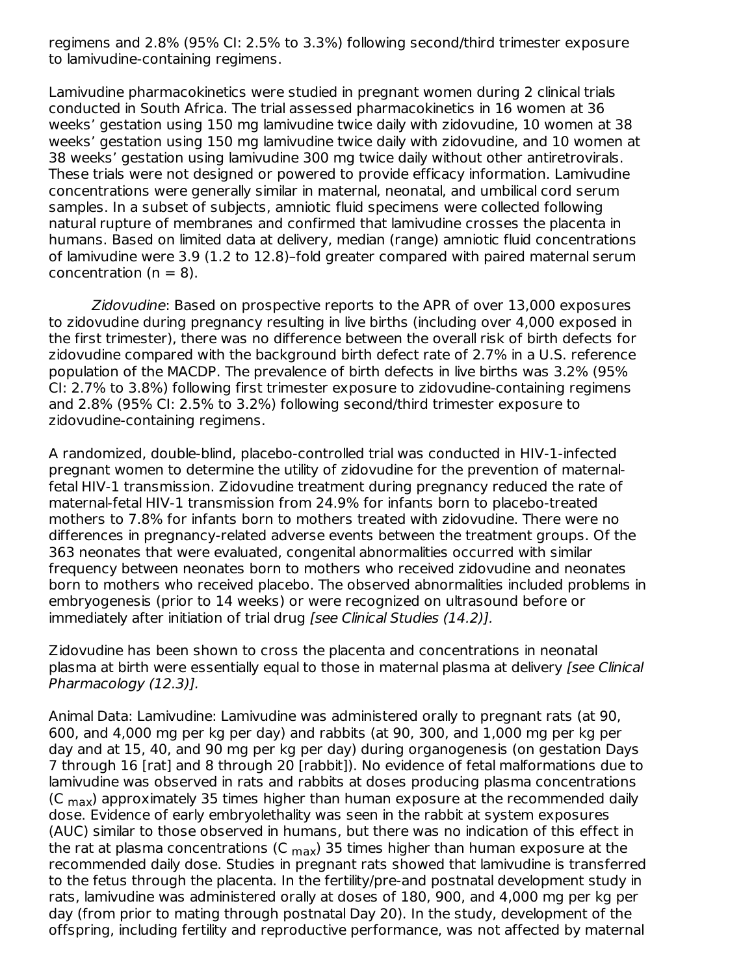regimens and 2.8% (95% CI: 2.5% to 3.3%) following second/third trimester exposure to lamivudine-containing regimens.

Lamivudine pharmacokinetics were studied in pregnant women during 2 clinical trials conducted in South Africa. The trial assessed pharmacokinetics in 16 women at 36 weeks' gestation using 150 mg lamivudine twice daily with zidovudine, 10 women at 38 weeks' gestation using 150 mg lamivudine twice daily with zidovudine, and 10 women at 38 weeks' gestation using lamivudine 300 mg twice daily without other antiretrovirals. These trials were not designed or powered to provide efficacy information. Lamivudine concentrations were generally similar in maternal, neonatal, and umbilical cord serum samples. In a subset of subjects, amniotic fluid specimens were collected following natural rupture of membranes and confirmed that lamivudine crosses the placenta in humans. Based on limited data at delivery, median (range) amniotic fluid concentrations of lamivudine were 3.9 (1.2 to 12.8)–fold greater compared with paired maternal serum concentration  $(n = 8)$ .

Zidovudine: Based on prospective reports to the APR of over 13,000 exposures to zidovudine during pregnancy resulting in live births (including over 4,000 exposed in the first trimester), there was no difference between the overall risk of birth defects for zidovudine compared with the background birth defect rate of 2.7% in a U.S. reference population of the MACDP. The prevalence of birth defects in live births was 3.2% (95% CI: 2.7% to 3.8%) following first trimester exposure to zidovudine-containing regimens and 2.8% (95% CI: 2.5% to 3.2%) following second/third trimester exposure to zidovudine-containing regimens.

A randomized, double-blind, placebo-controlled trial was conducted in HIV-1-infected pregnant women to determine the utility of zidovudine for the prevention of maternalfetal HIV-1 transmission. Zidovudine treatment during pregnancy reduced the rate of maternal-fetal HIV-1 transmission from 24.9% for infants born to placebo-treated mothers to 7.8% for infants born to mothers treated with zidovudine. There were no differences in pregnancy-related adverse events between the treatment groups. Of the 363 neonates that were evaluated, congenital abnormalities occurred with similar frequency between neonates born to mothers who received zidovudine and neonates born to mothers who received placebo. The observed abnormalities included problems in embryogenesis (prior to 14 weeks) or were recognized on ultrasound before or immediately after initiation of trial drug [see Clinical Studies (14.2)].

Zidovudine has been shown to cross the placenta and concentrations in neonatal plasma at birth were essentially equal to those in maternal plasma at delivery [see Clinical Pharmacology (12.3)].

Animal Data: Lamivudine: Lamivudine was administered orally to pregnant rats (at 90, 600, and 4,000 mg per kg per day) and rabbits (at 90, 300, and 1,000 mg per kg per day and at 15, 40, and 90 mg per kg per day) during organogenesis (on gestation Days 7 through 16 [rat] and 8 through 20 [rabbit]). No evidence of fetal malformations due to lamivudine was observed in rats and rabbits at doses producing plasma concentrations (C  $_{\text{max}}$ ) approximately 35 times higher than human exposure at the recommended daily dose. Evidence of early embryolethality was seen in the rabbit at system exposures (AUC) similar to those observed in humans, but there was no indication of this effect in the rat at plasma concentrations (C  $_{\sf max}$ ) 35 times higher than human exposure at the recommended daily dose. Studies in pregnant rats showed that lamivudine is transferred to the fetus through the placenta. In the fertility/pre-and postnatal development study in rats, lamivudine was administered orally at doses of 180, 900, and 4,000 mg per kg per day (from prior to mating through postnatal Day 20). In the study, development of the offspring, including fertility and reproductive performance, was not affected by maternal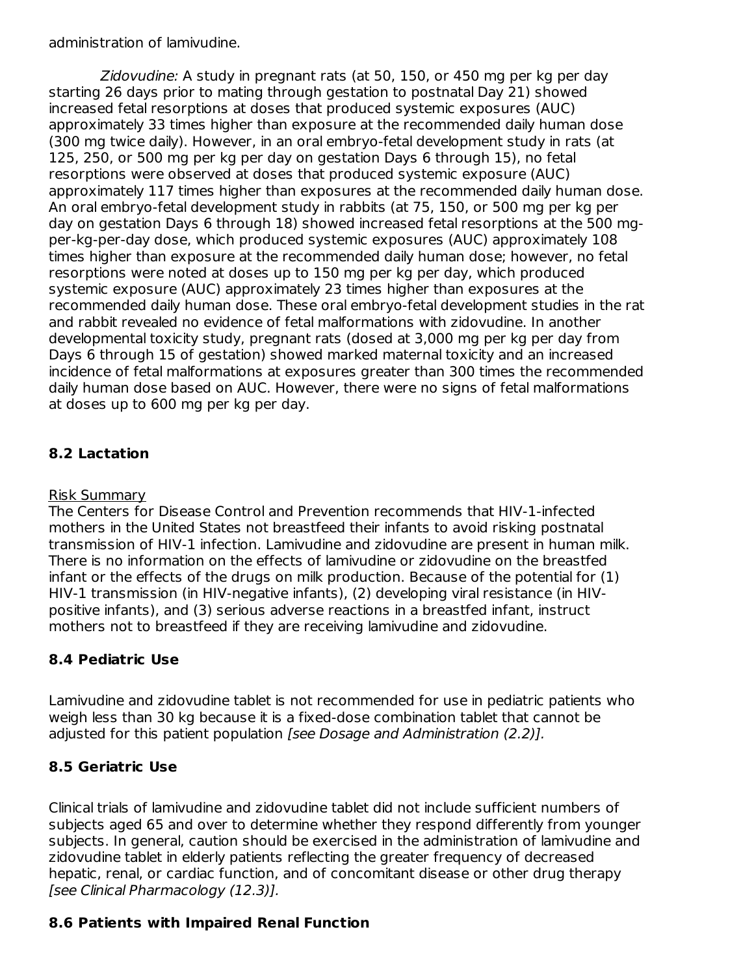administration of lamivudine.

Zidovudine: A study in pregnant rats (at 50, 150, or 450 mg per kg per day starting 26 days prior to mating through gestation to postnatal Day 21) showed increased fetal resorptions at doses that produced systemic exposures (AUC) approximately 33 times higher than exposure at the recommended daily human dose (300 mg twice daily). However, in an oral embryo-fetal development study in rats (at 125, 250, or 500 mg per kg per day on gestation Days 6 through 15), no fetal resorptions were observed at doses that produced systemic exposure (AUC) approximately 117 times higher than exposures at the recommended daily human dose. An oral embryo-fetal development study in rabbits (at 75, 150, or 500 mg per kg per day on gestation Days 6 through 18) showed increased fetal resorptions at the 500 mgper-kg-per-day dose, which produced systemic exposures (AUC) approximately 108 times higher than exposure at the recommended daily human dose; however, no fetal resorptions were noted at doses up to 150 mg per kg per day, which produced systemic exposure (AUC) approximately 23 times higher than exposures at the recommended daily human dose. These oral embryo-fetal development studies in the rat and rabbit revealed no evidence of fetal malformations with zidovudine. In another developmental toxicity study, pregnant rats (dosed at 3,000 mg per kg per day from Days 6 through 15 of gestation) showed marked maternal toxicity and an increased incidence of fetal malformations at exposures greater than 300 times the recommended daily human dose based on AUC. However, there were no signs of fetal malformations at doses up to 600 mg per kg per day.

### **8.2 Lactation**

#### Risk Summary

The Centers for Disease Control and Prevention recommends that HIV-1-infected mothers in the United States not breastfeed their infants to avoid risking postnatal transmission of HIV-1 infection. Lamivudine and zidovudine are present in human milk. There is no information on the effects of lamivudine or zidovudine on the breastfed infant or the effects of the drugs on milk production. Because of the potential for (1) HIV-1 transmission (in HIV-negative infants), (2) developing viral resistance (in HIVpositive infants), and (3) serious adverse reactions in a breastfed infant, instruct mothers not to breastfeed if they are receiving lamivudine and zidovudine.

### **8.4 Pediatric Use**

Lamivudine and zidovudine tablet is not recommended for use in pediatric patients who weigh less than 30 kg because it is a fixed-dose combination tablet that cannot be adjusted for this patient population [see Dosage and Administration (2.2)].

## **8.5 Geriatric Use**

Clinical trials of lamivudine and zidovudine tablet did not include sufficient numbers of subjects aged 65 and over to determine whether they respond differently from younger subjects. In general, caution should be exercised in the administration of lamivudine and zidovudine tablet in elderly patients reflecting the greater frequency of decreased hepatic, renal, or cardiac function, and of concomitant disease or other drug therapy [see Clinical Pharmacology (12.3)].

### **8.6 Patients with Impaired Renal Function**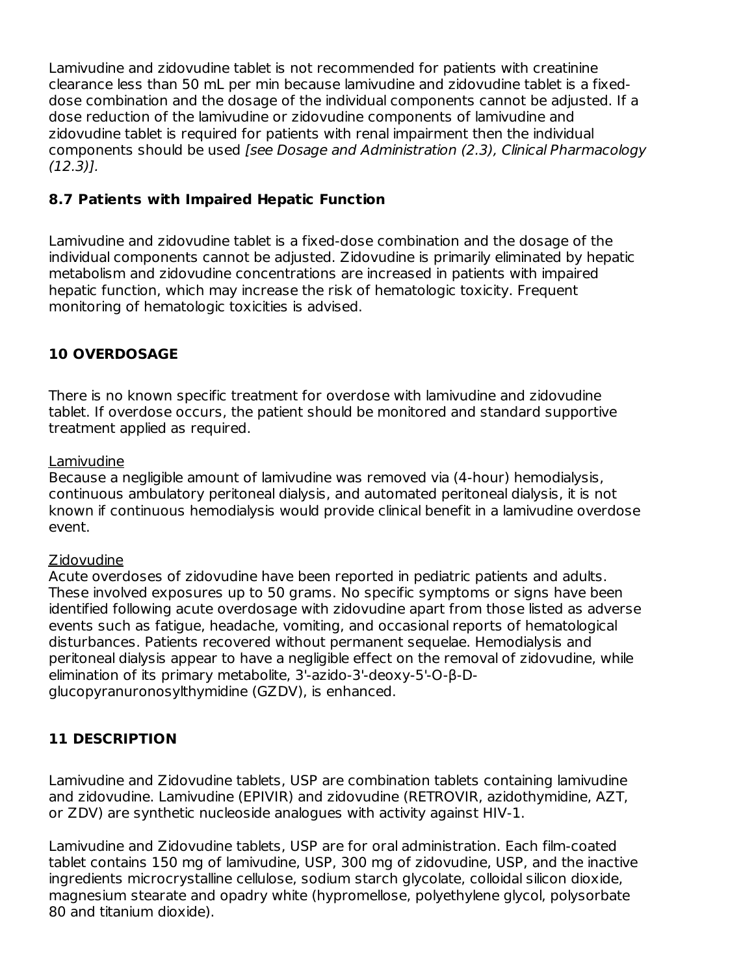Lamivudine and zidovudine tablet is not recommended for patients with creatinine clearance less than 50 mL per min because lamivudine and zidovudine tablet is a fixeddose combination and the dosage of the individual components cannot be adjusted. If a dose reduction of the lamivudine or zidovudine components of lamivudine and zidovudine tablet is required for patients with renal impairment then the individual components should be used [see Dosage and Administration (2.3), Clinical Pharmacology (12.3)].

#### **8.7 Patients with Impaired Hepatic Function**

Lamivudine and zidovudine tablet is a fixed-dose combination and the dosage of the individual components cannot be adjusted. Zidovudine is primarily eliminated by hepatic metabolism and zidovudine concentrations are increased in patients with impaired hepatic function, which may increase the risk of hematologic toxicity. Frequent monitoring of hematologic toxicities is advised.

#### **10 OVERDOSAGE**

There is no known specific treatment for overdose with lamivudine and zidovudine tablet. If overdose occurs, the patient should be monitored and standard supportive treatment applied as required.

#### Lamivudine

Because a negligible amount of lamivudine was removed via (4-hour) hemodialysis, continuous ambulatory peritoneal dialysis, and automated peritoneal dialysis, it is not known if continuous hemodialysis would provide clinical benefit in a lamivudine overdose event.

#### Zidovudine

Acute overdoses of zidovudine have been reported in pediatric patients and adults. These involved exposures up to 50 grams. No specific symptoms or signs have been identified following acute overdosage with zidovudine apart from those listed as adverse events such as fatigue, headache, vomiting, and occasional reports of hematological disturbances. Patients recovered without permanent sequelae. Hemodialysis and peritoneal dialysis appear to have a negligible effect on the removal of zidovudine, while elimination of its primary metabolite, 3'-azido-3'-deoxy-5'-O-β-Dglucopyranuronosylthymidine (GZDV), is enhanced.

### **11 DESCRIPTION**

Lamivudine and Zidovudine tablets, USP are combination tablets containing lamivudine and zidovudine. Lamivudine (EPIVIR) and zidovudine (RETROVIR, azidothymidine, AZT, or ZDV) are synthetic nucleoside analogues with activity against HIV-1.

Lamivudine and Zidovudine tablets, USP are for oral administration. Each film-coated tablet contains 150 mg of lamivudine, USP, 300 mg of zidovudine, USP, and the inactive ingredients microcrystalline cellulose, sodium starch glycolate, colloidal silicon dioxide, magnesium stearate and opadry white (hypromellose, polyethylene glycol, polysorbate 80 and titanium dioxide).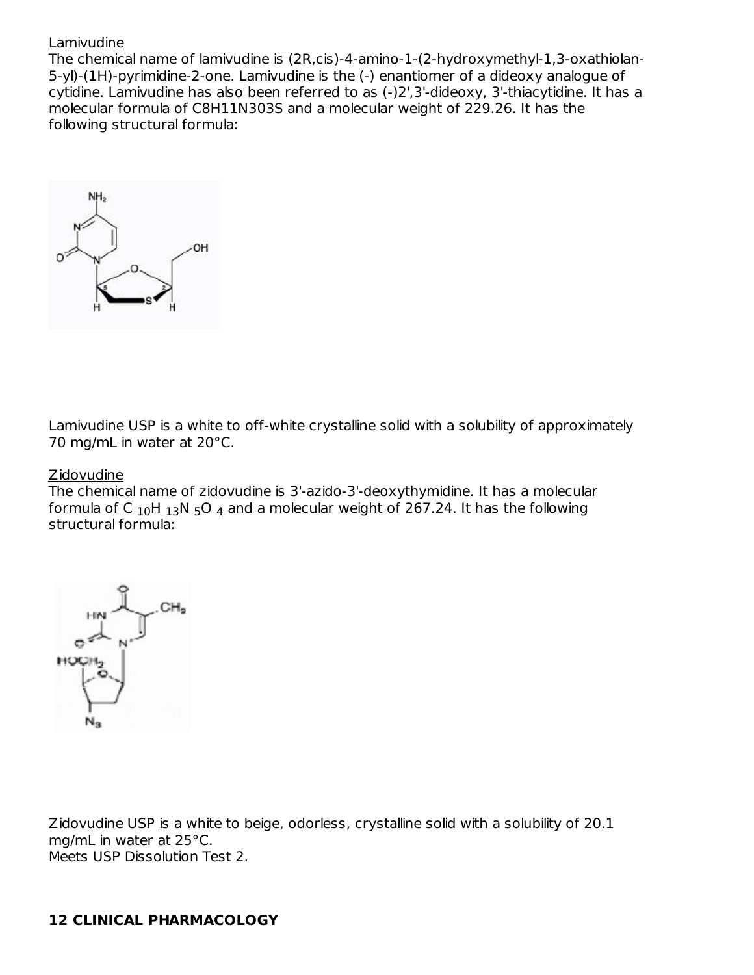#### Lamivudine

The chemical name of lamivudine is (2R,cis)-4-amino-1-(2-hydroxymethyl-1,3-oxathiolan-5-yl)-(1H)-pyrimidine-2-one. Lamivudine is the (-) enantiomer of a dideoxy analogue of cytidine. Lamivudine has also been referred to as (-)2',3'-dideoxy, 3'-thiacytidine. It has a molecular formula of C8H11N303S and a molecular weight of 229.26. It has the following structural formula:



Lamivudine USP is a white to off-white crystalline solid with a solubility of approximately 70 mg/mL in water at 20°C.

#### Zidovudine

The chemical name of zidovudine is 3'-azido-3'-deoxythymidine. It has a molecular formula of C  $_{\rm 10}$ H  $_{\rm 13}$ N  $_{\rm 5}$ O  $_{\rm 4}$  and a molecular weight of 267.24. It has the following structural formula:



Zidovudine USP is a white to beige, odorless, crystalline solid with a solubility of 20.1 mg/mL in water at 25°C. Meets USP Dissolution Test 2.

### **12 CLINICAL PHARMACOLOGY**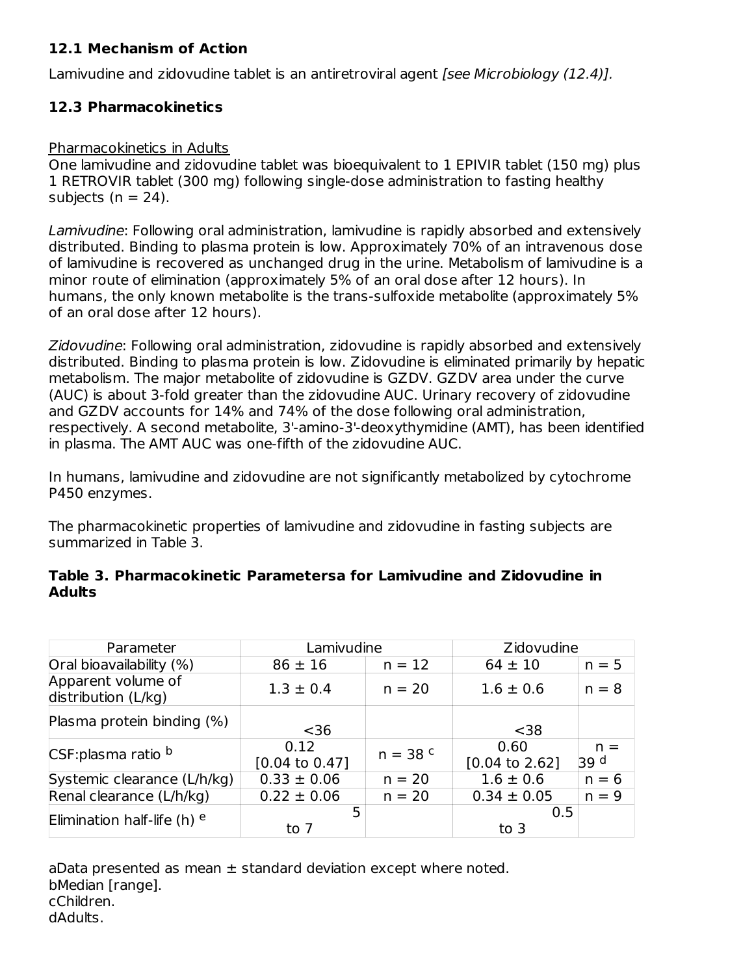### **12.1 Mechanism of Action**

Lamivudine and zidovudine tablet is an antiretroviral agent [see Microbiology (12.4)].

## **12.3 Pharmacokinetics**

### Pharmacokinetics in Adults

One lamivudine and zidovudine tablet was bioequivalent to 1 EPIVIR tablet (150 mg) plus 1 RETROVIR tablet (300 mg) following single-dose administration to fasting healthy subjects ( $n = 24$ ).

Lamivudine: Following oral administration, lamivudine is rapidly absorbed and extensively distributed. Binding to plasma protein is low. Approximately 70% of an intravenous dose of lamivudine is recovered as unchanged drug in the urine. Metabolism of lamivudine is a minor route of elimination (approximately 5% of an oral dose after 12 hours). In humans, the only known metabolite is the trans-sulfoxide metabolite (approximately 5% of an oral dose after 12 hours).

Zidovudine: Following oral administration, zidovudine is rapidly absorbed and extensively distributed. Binding to plasma protein is low. Zidovudine is eliminated primarily by hepatic metabolism. The major metabolite of zidovudine is GZDV. GZDV area under the curve (AUC) is about 3-fold greater than the zidovudine AUC. Urinary recovery of zidovudine and GZDV accounts for 14% and 74% of the dose following oral administration, respectively. A second metabolite, 3'-amino-3'-deoxythymidine (AMT), has been identified in plasma. The AMT AUC was one-fifth of the zidovudine AUC.

In humans, lamivudine and zidovudine are not significantly metabolized by cytochrome P450 enzymes.

The pharmacokinetic properties of lamivudine and zidovudine in fasting subjects are summarized in Table 3.

| Parameter                                 | Lamivudine                        |            | Zidovudine                        |               |
|-------------------------------------------|-----------------------------------|------------|-----------------------------------|---------------|
| Oral bioavailability (%)                  | $86 \pm 16$<br>$n = 12$           |            | $64 \pm 10$                       | $n = 5$       |
| Apparent volume of<br>distribution (L/kg) | $1.3 \pm 0.4$                     | $n = 20$   | $1.6 \pm 0.6$                     | $n = 8$       |
| Plasma protein binding (%)                | $36$                              |            | $38$                              |               |
| CSF:plasma ratio b                        | 0.12<br>$[0.04 \text{ to } 0.47]$ | $n = 38$ c | 0.60<br>$[0.04 \text{ to } 2.62]$ | $n =$<br>39 d |
| Systemic clearance (L/h/kg)               | $0.33 \pm 0.06$                   | $n = 20$   | $1.6 \pm 0.6$                     | $n = 6$       |
| Renal clearance (L/h/kg)                  | $0.22 \pm 0.06$                   | $n = 20$   | $0.34 \pm 0.05$                   | $n = 9$       |
| Elimination half-life (h) $e$             | 5<br>to 7                         |            | 0.5<br>to $3$                     |               |

#### **Table 3. Pharmacokinetic Parametersa for Lamivudine and Zidovudine in Adults**

aData presented as mean  $\pm$  standard deviation except where noted. bMedian [range]. cChildren. dAdults.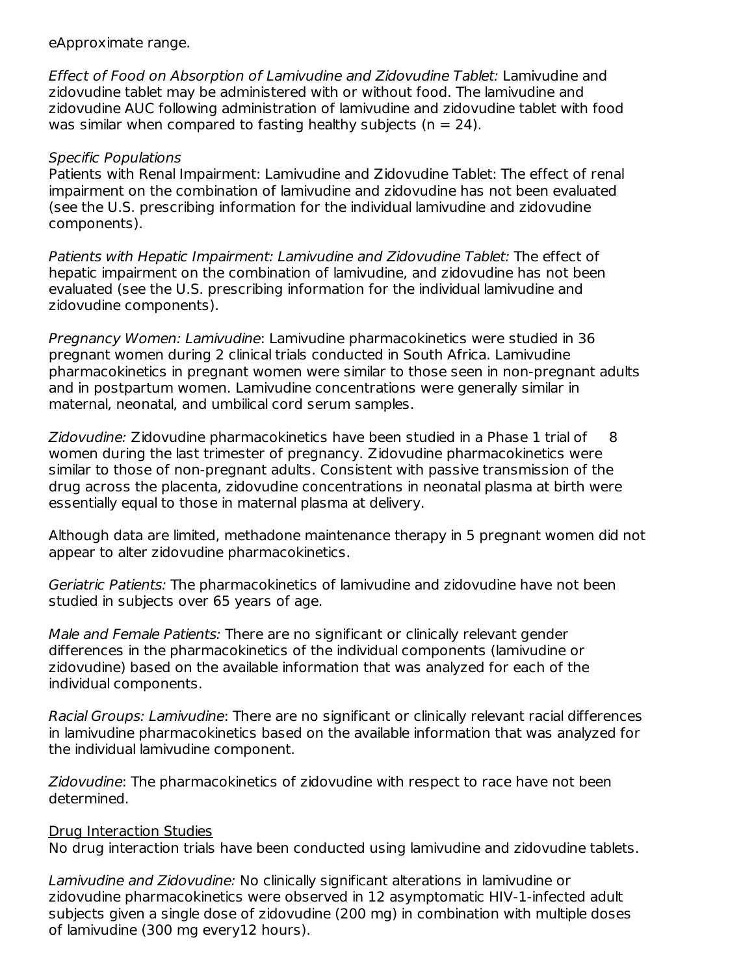eApproximate range.

Effect of Food on Absorption of Lamivudine and Zidovudine Tablet: Lamivudine and zidovudine tablet may be administered with or without food. The lamivudine and zidovudine AUC following administration of lamivudine and zidovudine tablet with food was similar when compared to fasting healthy subjects ( $n = 24$ ).

#### Specific Populations

Patients with Renal Impairment: Lamivudine and Zidovudine Tablet: The effect of renal impairment on the combination of lamivudine and zidovudine has not been evaluated (see the U.S. prescribing information for the individual lamivudine and zidovudine components).

Patients with Hepatic Impairment: Lamivudine and Zidovudine Tablet: The effect of hepatic impairment on the combination of lamivudine, and zidovudine has not been evaluated (see the U.S. prescribing information for the individual lamivudine and zidovudine components).

Pregnancy Women: Lamivudine: Lamivudine pharmacokinetics were studied in 36 pregnant women during 2 clinical trials conducted in South Africa. Lamivudine pharmacokinetics in pregnant women were similar to those seen in non-pregnant adults and in postpartum women. Lamivudine concentrations were generally similar in maternal, neonatal, and umbilical cord serum samples.

Zidovudine: Zidovudine pharmacokinetics have been studied in a Phase 1 trial of 8 women during the last trimester of pregnancy. Zidovudine pharmacokinetics were similar to those of non-pregnant adults. Consistent with passive transmission of the drug across the placenta, zidovudine concentrations in neonatal plasma at birth were essentially equal to those in maternal plasma at delivery.

Although data are limited, methadone maintenance therapy in 5 pregnant women did not appear to alter zidovudine pharmacokinetics.

Geriatric Patients: The pharmacokinetics of lamivudine and zidovudine have not been studied in subjects over 65 years of age.

Male and Female Patients: There are no significant or clinically relevant gender differences in the pharmacokinetics of the individual components (lamivudine or zidovudine) based on the available information that was analyzed for each of the individual components.

Racial Groups: Lamivudine: There are no significant or clinically relevant racial differences in lamivudine pharmacokinetics based on the available information that was analyzed for the individual lamivudine component.

Zidovudine: The pharmacokinetics of zidovudine with respect to race have not been determined.

#### Drug Interaction Studies

No drug interaction trials have been conducted using lamivudine and zidovudine tablets.

Lamivudine and Zidovudine: No clinically significant alterations in lamivudine or zidovudine pharmacokinetics were observed in 12 asymptomatic HIV-1-infected adult subjects given a single dose of zidovudine (200 mg) in combination with multiple doses of lamivudine (300 mg every12 hours).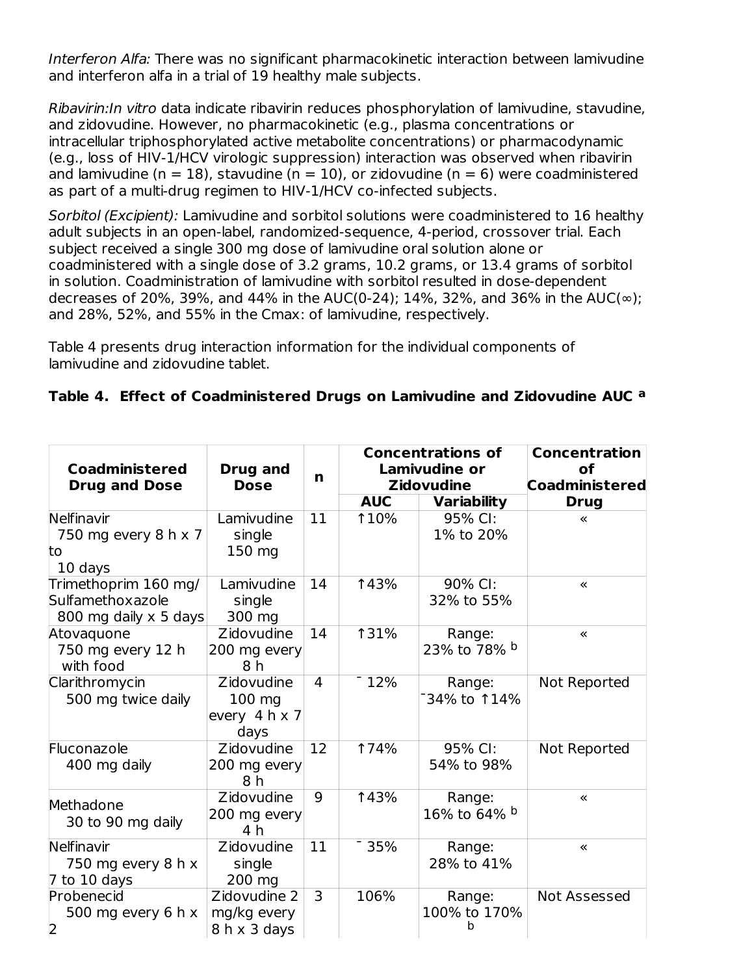Interferon Alfa: There was no significant pharmacokinetic interaction between lamivudine and interferon alfa in a trial of 19 healthy male subjects.

Ribavirin:In vitro data indicate ribavirin reduces phosphorylation of lamivudine, stavudine, and zidovudine. However, no pharmacokinetic (e.g., plasma concentrations or intracellular triphosphorylated active metabolite concentrations) or pharmacodynamic (e.g., loss of HIV-1/HCV virologic suppression) interaction was observed when ribavirin and lamivudine (n = 18), stavudine (n = 10), or zidovudine (n = 6) were coadministered as part of a multi-drug regimen to HIV-1/HCV co-infected subjects.

Sorbitol (Excipient): Lamivudine and sorbitol solutions were coadministered to 16 healthy adult subjects in an open-label, randomized-sequence, 4-period, crossover trial. Each subject received a single 300 mg dose of lamivudine oral solution alone or coadministered with a single dose of 3.2 grams, 10.2 grams, or 13.4 grams of sorbitol in solution. Coadministration of lamivudine with sorbitol resulted in dose-dependent decreases of 20%, 39%, and 44% in the AUC(0-24); 14%, 32%, and 36% in the AUC(∞); and 28%, 52%, and 55% in the Cmax: of lamivudine, respectively.

Table 4 presents drug interaction information for the individual components of lamivudine and zidovudine tablet.

|  | Table 4. Effect of Coadministered Drugs on Lamivudine and Zidovudine AUC a |  |  |  |
|--|----------------------------------------------------------------------------|--|--|--|
|  |                                                                            |  |  |  |

| <b>Coadministered</b><br><b>Drug and Dose</b>                     | Drug and<br><b>Dose</b>                       | n                       | <b>Concentrations of</b><br>Lamivudine or<br><b>Zidovudine</b> |                             | <b>Concentration</b><br><b>of</b><br><b>Coadministered</b> |
|-------------------------------------------------------------------|-----------------------------------------------|-------------------------|----------------------------------------------------------------|-----------------------------|------------------------------------------------------------|
|                                                                   |                                               |                         | <b>AUC</b>                                                     | <b>Variability</b>          | <b>Drug</b>                                                |
| Nelfinavir<br>750 mg every 8 h x 7<br>to<br>10 days               | Lamivudine<br>single<br>150 mg                | 11                      | <b>10%</b>                                                     | 95% CI:<br>1% to 20%        | ≪                                                          |
| Trimethoprim 160 mg/<br>Sulfamethoxazole<br>800 mg daily x 5 days | Lamivudine<br>single<br>300 mg                | 14                      | <b>143%</b>                                                    | 90% CI:<br>32% to 55%       | ≪                                                          |
| Atovaquone<br>750 mg every 12 h<br>with food                      | Zidovudine<br>200 mg every<br>8 h             | 14                      | <b>131%</b>                                                    | Range:<br>23% to 78% b      | «                                                          |
| Clarithromycin<br>500 mg twice daily                              | Zidovudine<br>100 mg<br>every 4 h x 7<br>days | 4                       | $-12%$                                                         | Range:<br>34% to 114%       | Not Reported                                               |
| Fluconazole<br>400 mg daily                                       | Zidovudine<br>200 mg every<br>8 h             | 12                      | <b>174%</b>                                                    | 95% CI:<br>54% to 98%       | Not Reported                                               |
| Methadone<br>30 to 90 mg daily                                    | Zidovudine<br>200 mg every<br>4 h             | 9                       | <b>143%</b>                                                    | Range:<br>16% to 64% b      | «                                                          |
| Nelfinavir<br>750 mg every 8 h x<br>$7$ to 10 days                | Zidovudine<br>single<br>200 mg                | 11                      | 35%                                                            | Range:<br>28% to 41%        | «                                                          |
| Probenecid<br>500 mg every 6 h $x$<br>$\overline{2}$              | Zidovudine 2<br>mg/kg every<br>8 h x 3 days   | $\overline{\mathbf{3}}$ | 106%                                                           | Range:<br>100% to 170%<br>h | Not Assessed                                               |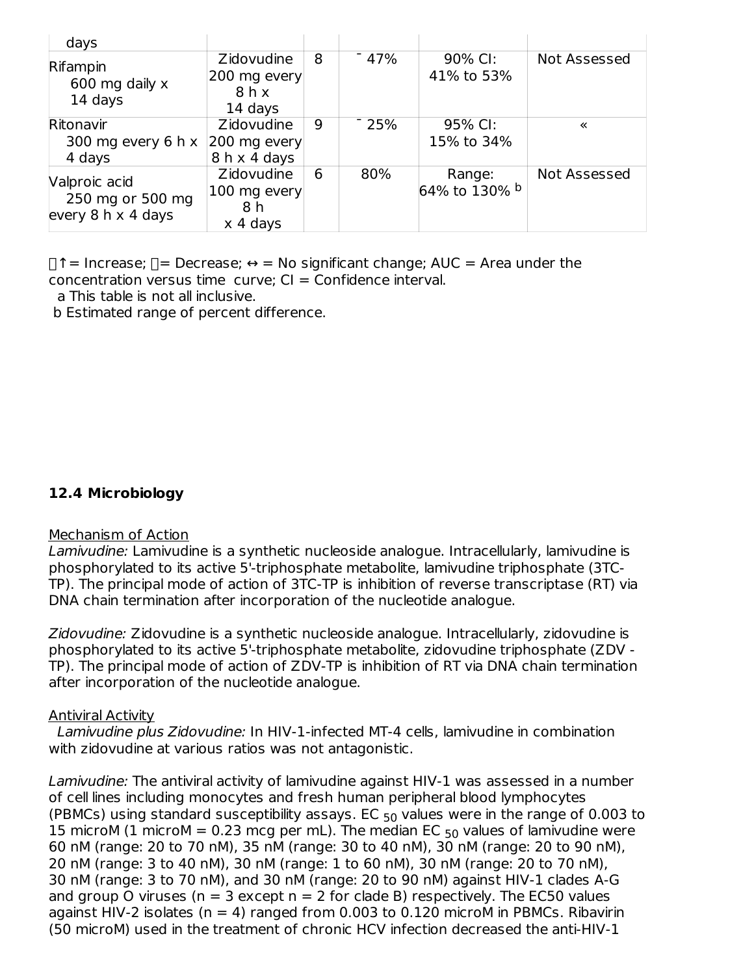| days                                                           |                                                     |   |        |                         |              |
|----------------------------------------------------------------|-----------------------------------------------------|---|--------|-------------------------|--------------|
| Rifampin<br>600 mg daily x<br>14 days                          | <b>Zidovudine</b><br>200 mg every<br>8hx<br>14 days | 8 | $-47%$ | 90% CI:<br>41% to 53%   | Not Assessed |
| Ritonavir<br>300 mg every 6 h $x$<br>4 days                    | Zidovudine<br>200 mg every<br>8 h x 4 days          | 9 | $-25%$ | 95% CI:<br>15% to 34%   | «            |
| Valproic acid<br>250 mg or 500 mg<br>every $8 h \times 4$ days | Zidovudine<br>100 mg every<br>8 h<br>x 4 days       | 6 | 80%    | Range:<br>64% to 130% b | Not Assessed |

 $\Box$   $\uparrow$  = Increase;  $\Box$  = Decrease;  $\Leftrightarrow$  = No significant change; AUC = Area under the concentration versus time curve:  $Cl =$  Confidence interval.

a This table is not all inclusive.

b Estimated range of percent difference.

#### **12.4 Microbiology**

#### Mechanism of Action

Lamivudine: Lamivudine is a synthetic nucleoside analogue. Intracellularly, lamivudine is phosphorylated to its active 5'-triphosphate metabolite, lamivudine triphosphate (3TC-TP). The principal mode of action of 3TC-TP is inhibition of reverse transcriptase (RT) via DNA chain termination after incorporation of the nucleotide analogue.

Zidovudine: Zidovudine is a synthetic nucleoside analogue. Intracellularly, zidovudine is phosphorylated to its active 5'-triphosphate metabolite, zidovudine triphosphate (ZDV - TP). The principal mode of action of ZDV-TP is inhibition of RT via DNA chain termination after incorporation of the nucleotide analogue.

#### Antiviral Activity

Lamivudine plus Zidovudine: In HIV-1-infected MT-4 cells, lamivudine in combination with zidovudine at various ratios was not antagonistic.

Lamivudine: The antiviral activity of lamivudine against HIV-1 was assessed in a number of cell lines including monocytes and fresh human peripheral blood lymphocytes (PBMCs) using standard susceptibility assays. EC  $_{50}$  values were in the range of 0.003 to 15 microM (1 microM = 0.23 mcg per mL). The median EC  $_{50}$  values of lamivudine were 60 nM (range: 20 to 70 nM), 35 nM (range: 30 to 40 nM), 30 nM (range: 20 to 90 nM), 20 nM (range: 3 to 40 nM), 30 nM (range: 1 to 60 nM), 30 nM (range: 20 to 70 nM), 30 nM (range: 3 to 70 nM), and 30 nM (range: 20 to 90 nM) against HIV-1 clades A-G and group O viruses ( $n = 3$  except  $n = 2$  for clade B) respectively. The EC50 values against HIV-2 isolates ( $n = 4$ ) ranged from 0.003 to 0.120 microM in PBMCs. Ribavirin (50 microM) used in the treatment of chronic HCV infection decreased the anti-HIV-1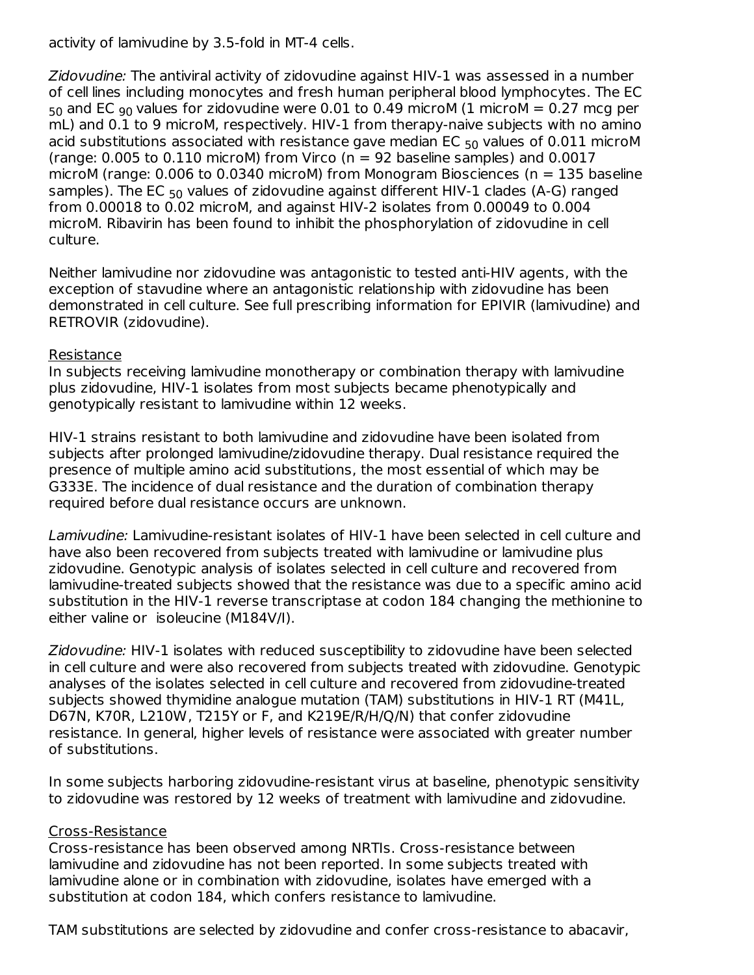activity of lamivudine by 3.5-fold in MT-4 cells.

Zidovudine: The antiviral activity of zidovudine against HIV-1 was assessed in a number of cell lines including monocytes and fresh human peripheral blood lymphocytes. The EC  $_{50}$  and EC  $_{90}$  values for zidovudine were 0.01 to 0.49 microM (1 microM = 0.27 mcg per mL) and 0.1 to 9 microM, respectively. HIV-1 from therapy-naive subjects with no amino acid substitutions associated with resistance gave median EC  $_{50}$  values of 0.011 microM (range:  $0.005$  to  $0.110$  microM) from Virco ( $n = 92$  baseline samples) and  $0.0017$ microM (range:  $0.006$  to  $0.0340$  microM) from Monogram Biosciences (n = 135 baseline samples). The EC  $_{50}$  values of zidovudine against different HIV-1 clades (A-G) ranged from 0.00018 to 0.02 microM, and against HIV-2 isolates from 0.00049 to 0.004 microM. Ribavirin has been found to inhibit the phosphorylation of zidovudine in cell culture.

Neither lamivudine nor zidovudine was antagonistic to tested anti-HIV agents, with the exception of stavudine where an antagonistic relationship with zidovudine has been demonstrated in cell culture. See full prescribing information for EPIVIR (lamivudine) and RETROVIR (zidovudine).

#### Resistance

In subjects receiving lamivudine monotherapy or combination therapy with lamivudine plus zidovudine, HIV-1 isolates from most subjects became phenotypically and genotypically resistant to lamivudine within 12 weeks.

HIV-1 strains resistant to both lamivudine and zidovudine have been isolated from subjects after prolonged lamivudine/zidovudine therapy. Dual resistance required the presence of multiple amino acid substitutions, the most essential of which may be G333E. The incidence of dual resistance and the duration of combination therapy required before dual resistance occurs are unknown.

Lamivudine: Lamivudine-resistant isolates of HIV-1 have been selected in cell culture and have also been recovered from subjects treated with lamivudine or lamivudine plus zidovudine. Genotypic analysis of isolates selected in cell culture and recovered from lamivudine-treated subjects showed that the resistance was due to a specific amino acid substitution in the HIV-1 reverse transcriptase at codon 184 changing the methionine to either valine or isoleucine (M184V/I).

Zidovudine: HIV-1 isolates with reduced susceptibility to zidovudine have been selected in cell culture and were also recovered from subjects treated with zidovudine. Genotypic analyses of the isolates selected in cell culture and recovered from zidovudine-treated subjects showed thymidine analogue mutation (TAM) substitutions in HIV-1 RT (M41L, D67N, K70R, L210W, T215Y or F, and K219E/R/H/Q/N) that confer zidovudine resistance. In general, higher levels of resistance were associated with greater number of substitutions.

In some subjects harboring zidovudine-resistant virus at baseline, phenotypic sensitivity to zidovudine was restored by 12 weeks of treatment with lamivudine and zidovudine.

#### Cross-Resistance

Cross-resistance has been observed among NRTIs. Cross-resistance between lamivudine and zidovudine has not been reported. In some subjects treated with lamivudine alone or in combination with zidovudine, isolates have emerged with a substitution at codon 184, which confers resistance to lamivudine.

TAM substitutions are selected by zidovudine and confer cross-resistance to abacavir,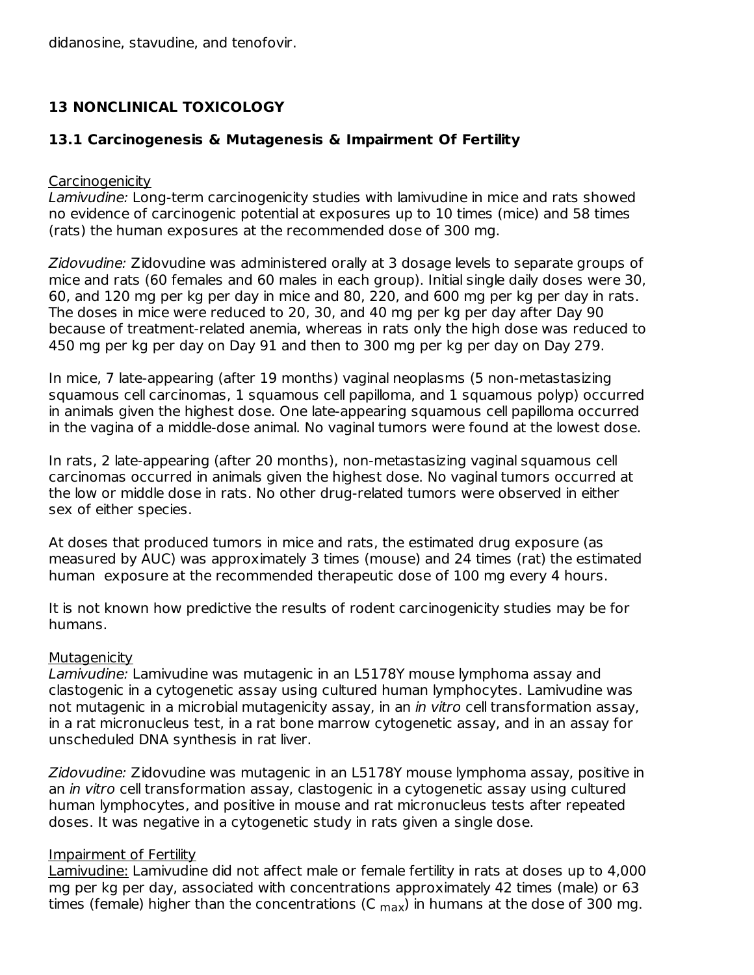didanosine, stavudine, and tenofovir.

### **13 NONCLINICAL TOXICOLOGY**

#### **13.1 Carcinogenesis & Mutagenesis & Impairment Of Fertility**

#### **Carcinogenicity**

Lamivudine: Long-term carcinogenicity studies with lamivudine in mice and rats showed no evidence of carcinogenic potential at exposures up to 10 times (mice) and 58 times (rats) the human exposures at the recommended dose of 300 mg.

Zidovudine: Zidovudine was administered orally at 3 dosage levels to separate groups of mice and rats (60 females and 60 males in each group). Initial single daily doses were 30, 60, and 120 mg per kg per day in mice and 80, 220, and 600 mg per kg per day in rats. The doses in mice were reduced to 20, 30, and 40 mg per kg per day after Day 90 because of treatment-related anemia, whereas in rats only the high dose was reduced to 450 mg per kg per day on Day 91 and then to 300 mg per kg per day on Day 279.

In mice, 7 late-appearing (after 19 months) vaginal neoplasms (5 non-metastasizing squamous cell carcinomas, 1 squamous cell papilloma, and 1 squamous polyp) occurred in animals given the highest dose. One late-appearing squamous cell papilloma occurred in the vagina of a middle-dose animal. No vaginal tumors were found at the lowest dose.

In rats, 2 late-appearing (after 20 months), non-metastasizing vaginal squamous cell carcinomas occurred in animals given the highest dose. No vaginal tumors occurred at the low or middle dose in rats. No other drug-related tumors were observed in either sex of either species.

At doses that produced tumors in mice and rats, the estimated drug exposure (as measured by AUC) was approximately 3 times (mouse) and 24 times (rat) the estimated human exposure at the recommended therapeutic dose of 100 mg every 4 hours.

It is not known how predictive the results of rodent carcinogenicity studies may be for humans.

#### **Mutagenicity**

Lamivudine: Lamivudine was mutagenic in an L5178Y mouse lymphoma assay and clastogenic in a cytogenetic assay using cultured human lymphocytes. Lamivudine was not mutagenic in a microbial mutagenicity assay, in an *in vitro* cell transformation assay, in a rat micronucleus test, in a rat bone marrow cytogenetic assay, and in an assay for unscheduled DNA synthesis in rat liver.

Zidovudine: Zidovudine was mutagenic in an L5178Y mouse lymphoma assay, positive in an *in vitro* cell transformation assay, clastogenic in a cytogenetic assay using cultured human lymphocytes, and positive in mouse and rat micronucleus tests after repeated doses. It was negative in a cytogenetic study in rats given a single dose.

#### Impairment of Fertility

Lamivudine: Lamivudine did not affect male or female fertility in rats at doses up to 4,000 mg per kg per day, associated with concentrations approximately 42 times (male) or 63 times (female) higher than the concentrations (C  $_{\text{max}}$ ) in humans at the dose of 300 mg.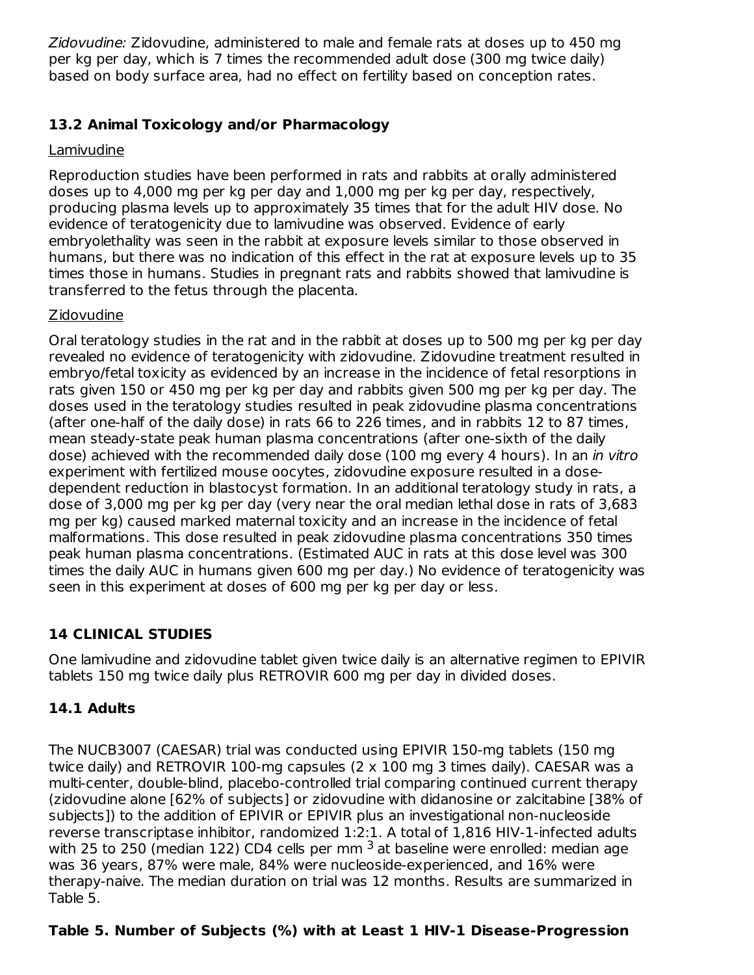Zidovudine: Zidovudine, administered to male and female rats at doses up to 450 mg per kg per day, which is 7 times the recommended adult dose (300 mg twice daily) based on body surface area, had no effect on fertility based on conception rates.

### **13.2 Animal Toxicology and/or Pharmacology**

### Lamivudine

Reproduction studies have been performed in rats and rabbits at orally administered doses up to 4,000 mg per kg per day and 1,000 mg per kg per day, respectively, producing plasma levels up to approximately 35 times that for the adult HIV dose. No evidence of teratogenicity due to lamivudine was observed. Evidence of early embryolethality was seen in the rabbit at exposure levels similar to those observed in humans, but there was no indication of this effect in the rat at exposure levels up to 35 times those in humans. Studies in pregnant rats and rabbits showed that lamivudine is transferred to the fetus through the placenta.

### **Zidovudine**

Oral teratology studies in the rat and in the rabbit at doses up to 500 mg per kg per day revealed no evidence of teratogenicity with zidovudine. Zidovudine treatment resulted in embryo/fetal toxicity as evidenced by an increase in the incidence of fetal resorptions in rats given 150 or 450 mg per kg per day and rabbits given 500 mg per kg per day. The doses used in the teratology studies resulted in peak zidovudine plasma concentrations (after one-half of the daily dose) in rats 66 to 226 times, and in rabbits 12 to 87 times, mean steady-state peak human plasma concentrations (after one-sixth of the daily dose) achieved with the recommended daily dose (100 mg every 4 hours). In an in vitro experiment with fertilized mouse oocytes, zidovudine exposure resulted in a dosedependent reduction in blastocyst formation. In an additional teratology study in rats, a dose of 3,000 mg per kg per day (very near the oral median lethal dose in rats of 3,683 mg per kg) caused marked maternal toxicity and an increase in the incidence of fetal malformations. This dose resulted in peak zidovudine plasma concentrations 350 times peak human plasma concentrations. (Estimated AUC in rats at this dose level was 300 times the daily AUC in humans given 600 mg per day.) No evidence of teratogenicity was seen in this experiment at doses of 600 mg per kg per day or less.

### **14 CLINICAL STUDIES**

One lamivudine and zidovudine tablet given twice daily is an alternative regimen to EPIVIR tablets 150 mg twice daily plus RETROVIR 600 mg per day in divided doses.

### **14.1 Adults**

The NUCB3007 (CAESAR) trial was conducted using EPIVIR 150-mg tablets (150 mg twice daily) and RETROVIR 100-mg capsules  $(2 \times 100 \text{ mg } 3 \text{ times }$  daily). CAESAR was a multi-center, double-blind, placebo-controlled trial comparing continued current therapy (zidovudine alone [62% of subjects] or zidovudine with didanosine or zalcitabine [38% of subjects]) to the addition of EPIVIR or EPIVIR plus an investigational non-nucleoside reverse transcriptase inhibitor, randomized 1:2:1. A total of 1,816 HIV-1-infected adults with 25 to 250 (median 122) CD4 cells per mm  $^3$  at baseline were enrolled: median age was 36 years, 87% were male, 84% were nucleoside-experienced, and 16% were therapy-naive. The median duration on trial was 12 months. Results are summarized in Table 5.

### **Table 5. Number of Subjects (%) with at Least 1 HIV-1 Disease-Progression**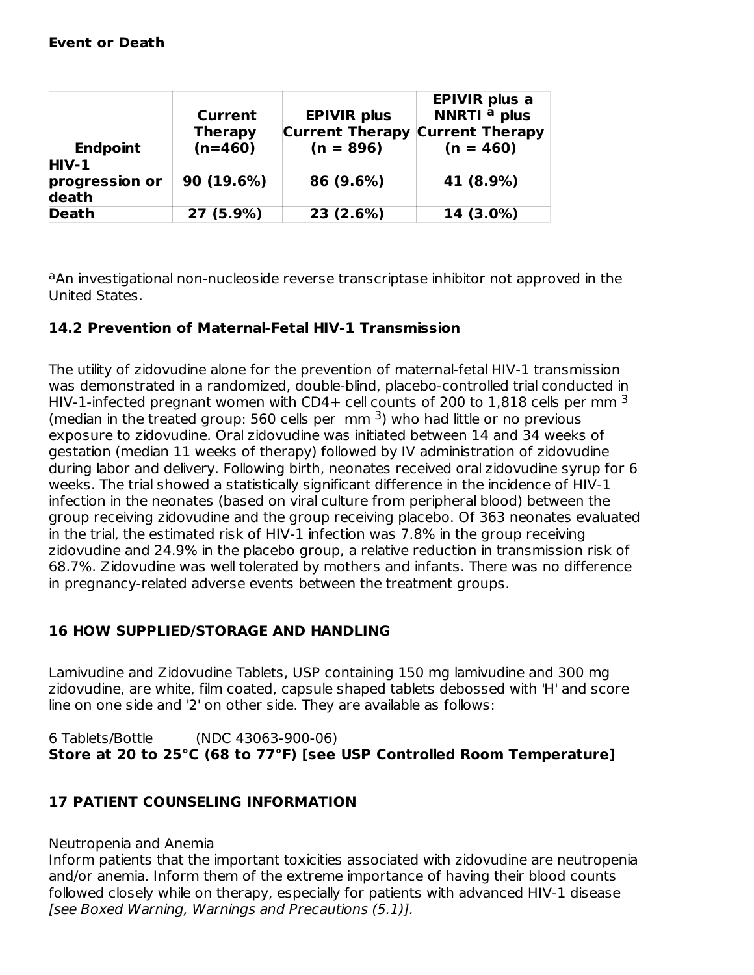| <b>Endpoint</b>                    | Current<br><b>Therapy</b><br>$(n=460)$ | <b>EPIVIR plus</b><br><b>Current Therapy</b><br>$(n = 896)$ | <b>EPIVIR</b> plus a<br>NNRTI <sup>a</sup> plus<br><b>Current Therapy</b><br>$(n = 460)$ |
|------------------------------------|----------------------------------------|-------------------------------------------------------------|------------------------------------------------------------------------------------------|
| $HIV-1$<br>progression or<br>death | 90 (19.6%)                             | 86 (9.6%)                                                   | 41 (8.9%)                                                                                |
| <b>Death</b>                       | 27 (5.9%)                              | 23(2.6%)                                                    | 14 (3.0%)                                                                                |

aAn investigational non-nucleoside reverse transcriptase inhibitor not approved in the United States.

### **14.2 Prevention of Maternal-Fetal HIV-1 Transmission**

The utility of zidovudine alone for the prevention of maternal-fetal HIV-1 transmission was demonstrated in a randomized, double-blind, placebo-controlled trial conducted in HIV-1-infected pregnant women with CD4+ cell counts of 200 to 1,818 cells per mm  $^3$ (median in the treated group: 560 cells per mm  $3$ ) who had little or no previous exposure to zidovudine. Oral zidovudine was initiated between 14 and 34 weeks of gestation (median 11 weeks of therapy) followed by IV administration of zidovudine during labor and delivery. Following birth, neonates received oral zidovudine syrup for 6 weeks. The trial showed a statistically significant difference in the incidence of HIV-1 infection in the neonates (based on viral culture from peripheral blood) between the group receiving zidovudine and the group receiving placebo. Of 363 neonates evaluated in the trial, the estimated risk of HIV-1 infection was 7.8% in the group receiving zidovudine and 24.9% in the placebo group, a relative reduction in transmission risk of 68.7%. Zidovudine was well tolerated by mothers and infants. There was no difference in pregnancy-related adverse events between the treatment groups.

### **16 HOW SUPPLIED/STORAGE AND HANDLING**

Lamivudine and Zidovudine Tablets, USP containing 150 mg lamivudine and 300 mg zidovudine, are white, film coated, capsule shaped tablets debossed with 'H' and score line on one side and '2' on other side. They are available as follows:

6 Tablets/Bottle (NDC 43063-900-06) **Store at 20 to 25°C (68 to 77°F) [see USP Controlled Room Temperature]**

### **17 PATIENT COUNSELING INFORMATION**

#### Neutropenia and Anemia

Inform patients that the important toxicities associated with zidovudine are neutropenia and/or anemia. Inform them of the extreme importance of having their blood counts followed closely while on therapy, especially for patients with advanced HIV-1 disease [see Boxed Warning, Warnings and Precautions (5.1)].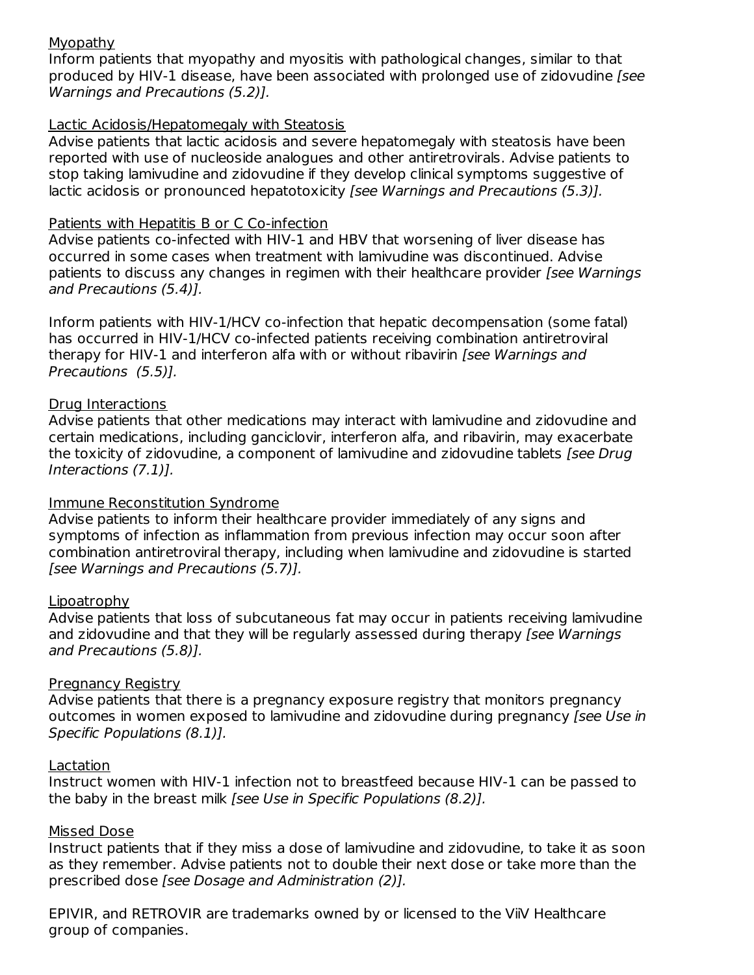#### Myopathy

Inform patients that myopathy and myositis with pathological changes, similar to that produced by HIV-1 disease, have been associated with prolonged use of zidovudine [see Warnings and Precautions (5.2)].

#### Lactic Acidosis/Hepatomegaly with Steatosis

Advise patients that lactic acidosis and severe hepatomegaly with steatosis have been reported with use of nucleoside analogues and other antiretrovirals. Advise patients to stop taking lamivudine and zidovudine if they develop clinical symptoms suggestive of lactic acidosis or pronounced hepatotoxicity *[see Warnings and Precautions (5.3)].* 

#### Patients with Hepatitis B or C Co-infection

Advise patients co-infected with HIV-1 and HBV that worsening of liver disease has occurred in some cases when treatment with lamivudine was discontinued. Advise patients to discuss any changes in regimen with their healthcare provider *[see Warnings*] and Precautions (5.4)].

Inform patients with HIV-1/HCV co-infection that hepatic decompensation (some fatal) has occurred in HIV-1/HCV co-infected patients receiving combination antiretroviral therapy for HIV-1 and interferon alfa with or without ribavirin [see Warnings and Precautions (5.5)].

#### Drug Interactions

Advise patients that other medications may interact with lamivudine and zidovudine and certain medications, including ganciclovir, interferon alfa, and ribavirin, may exacerbate the toxicity of zidovudine, a component of lamivudine and zidovudine tablets [see Drug Interactions (7.1)].

#### Immune Reconstitution Syndrome

Advise patients to inform their healthcare provider immediately of any signs and symptoms of infection as inflammation from previous infection may occur soon after combination antiretroviral therapy, including when lamivudine and zidovudine is started [see Warnings and Precautions (5.7)].

#### Lipoatrophy

Advise patients that loss of subcutaneous fat may occur in patients receiving lamivudine and zidovudine and that they will be regularly assessed during therapy [see Warnings] and Precautions (5.8)].

#### Pregnancy Registry

Advise patients that there is a pregnancy exposure registry that monitors pregnancy outcomes in women exposed to lamivudine and zidovudine during pregnancy [see Use in Specific Populations (8.1)].

#### **Lactation**

Instruct women with HIV-1 infection not to breastfeed because HIV-1 can be passed to the baby in the breast milk [see Use in Specific Populations (8.2)].

#### Missed Dose

Instruct patients that if they miss a dose of lamivudine and zidovudine, to take it as soon as they remember. Advise patients not to double their next dose or take more than the prescribed dose [see Dosage and Administration (2)].

EPIVIR, and RETROVIR are trademarks owned by or licensed to the ViiV Healthcare group of companies.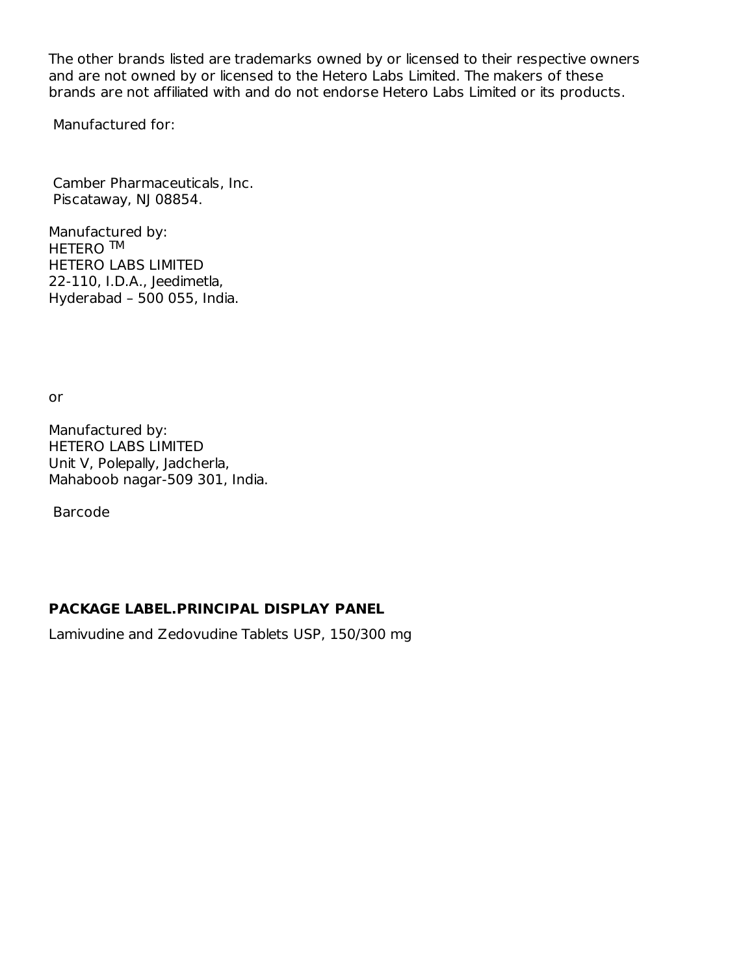The other brands listed are trademarks owned by or licensed to their respective owners and are not owned by or licensed to the Hetero Labs Limited. The makers of these brands are not affiliated with and do not endorse Hetero Labs Limited or its products.

Manufactured for:

Camber Pharmaceuticals, Inc. Piscataway, NJ 08854.

Manufactured by: HETERO ™ HETERO LABS LIMITED 22-110, I.D.A., Jeedimetla, Hyderabad – 500 055, India.

or

Manufactured by: HETERO LABS LIMITED Unit V, Polepally, Jadcherla, Mahaboob nagar-509 301, India.

Barcode

### **PACKAGE LABEL.PRINCIPAL DISPLAY PANEL**

Lamivudine and Zedovudine Tablets USP, 150/300 mg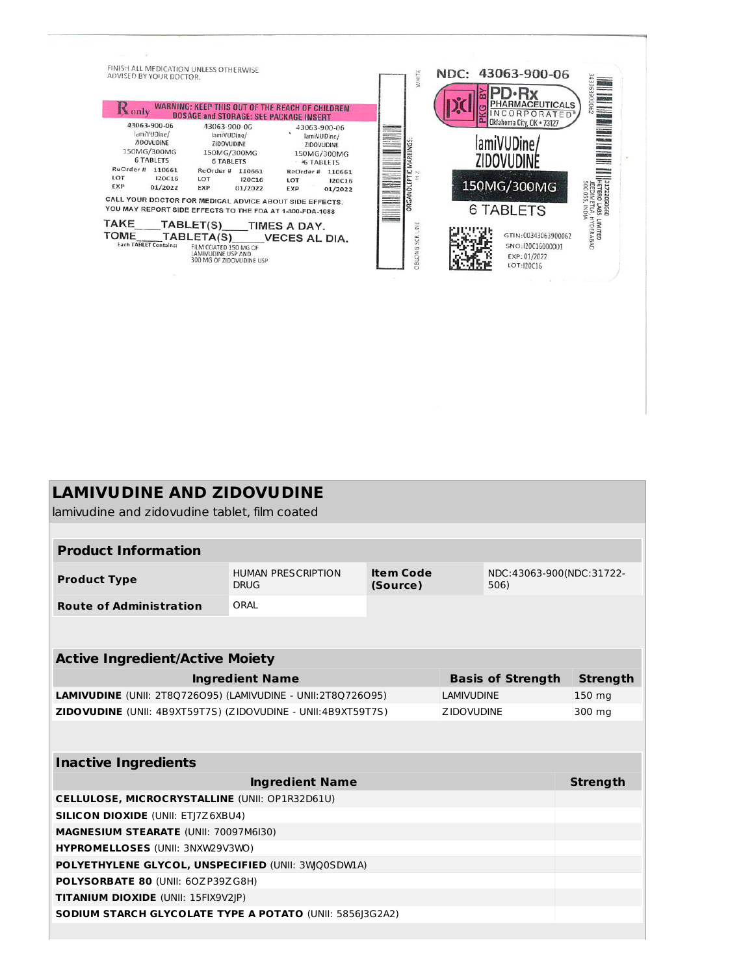

## **LAMIVUDINE AND ZIDOVUDINE**

lamivudine and zidovudine tablet, film coated

| <b>Product Information</b>     |                                          |                       |                                  |  |  |  |
|--------------------------------|------------------------------------------|-----------------------|----------------------------------|--|--|--|
| <b>Product Type</b>            | <b>HUMAN PRESCRIPTION</b><br><b>DRUG</b> | Item Code<br>(Source) | NDC:43063-900(NDC:31722-<br>506) |  |  |  |
| <b>Route of Administration</b> | ORAL                                     |                       |                                  |  |  |  |

#### **Active Ingredient/Active Moiety**

| <b>Ingredient Name</b>                                              | <b>Basis of Strength</b> | Strength |
|---------------------------------------------------------------------|--------------------------|----------|
| <b>LAMIVUDINE</b> (UNII: 2T8O726O95) (LAMIVUDINE - UNII:2T8O726O95) | LAMIVUDINE               | 150 ma   |
| <b>ZIDOVUDINE</b> (UNII: 4B9XT59T7S) (ZIDOVUDINE - UNII:4B9XT59T7S) | <b>ZIDOVUDINE</b>        | 300 mg   |

| <b>Inactive Ingredients</b>                                     |          |
|-----------------------------------------------------------------|----------|
| <b>Ingredient Name</b>                                          | Strength |
| <b>CELLULOSE, MICROCRYSTALLINE (UNII: OP1R32D61U)</b>           |          |
| <b>SILICON DIOXIDE (UNII: ETI7Z6XBU4)</b>                       |          |
| <b>MAGNESIUM STEARATE (UNII: 70097M6I30)</b>                    |          |
| HYPROMELLOSES (UNII: 3NXW29V3WO)                                |          |
| POLYETHYLENE GLYCOL, UNSPECIFIED (UNII: 3WQ0SDW1A)              |          |
| <b>POLYSORBATE 80 (UNII: 60ZP39ZG8H)</b>                        |          |
| <b>TITANIUM DIOXIDE (UNII: 15FIX9V2JP)</b>                      |          |
| <b>SODIUM STARCH GLYCOLATE TYPE A POTATO (UNII: 5856 3G2A2)</b> |          |
|                                                                 |          |